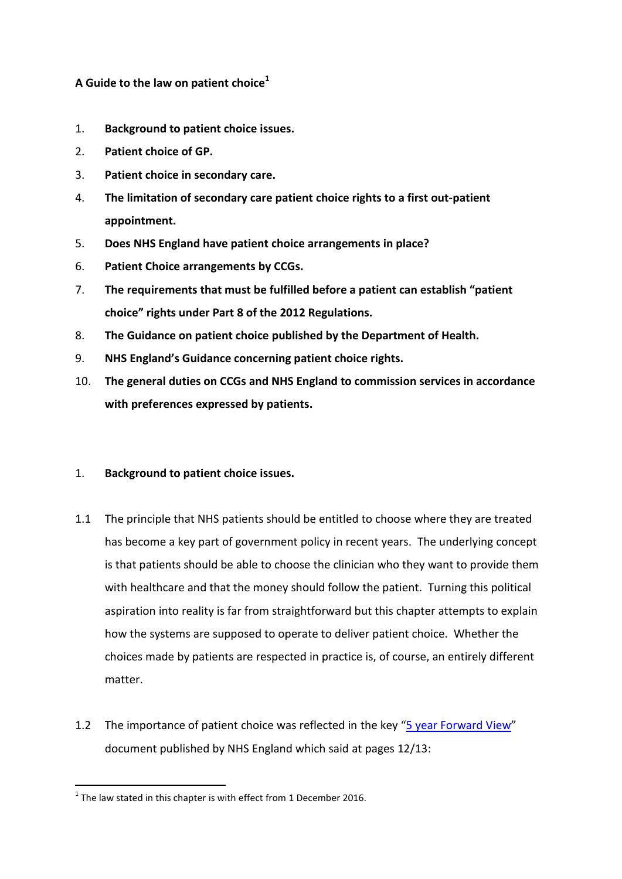### **A Guide to the law on patient choice<sup>1</sup>**

- 1. **Background to patient choice issues.**
- 2. **Patient choice of GP.**
- 3. **Patient choice in secondary care.**
- 4. **The limitation of secondary care patient choice rights to a first out-patient appointment.**
- 5. **Does NHS England have patient choice arrangements in place?**
- 6. **Patient Choice arrangements by CCGs.**
- 7. **The requirements that must be fulfilled before a patient can establish "patient choice" rights under Part 8 of the 2012 Regulations.**
- 8. **The Guidance on patient choice published by the Department of Health.**
- 9. **NHS England's Guidance concerning patient choice rights.**
- 10. **The general duties on CCGs and NHS England to commission services in accordance with preferences expressed by patients.**
- 1. **Background to patient choice issues.**
- 1.1 The principle that NHS patients should be entitled to choose where they are treated has become a key part of government policy in recent years. The underlying concept is that patients should be able to choose the clinician who they want to provide them with healthcare and that the money should follow the patient. Turning this political aspiration into reality is far from straightforward but this chapter attempts to explain how the systems are supposed to operate to deliver patient choice. Whether the choices made by patients are respected in practice is, of course, an entirely different matter.
- 1.2 The importance of patient choice was reflected in the key "[5 year Forward View](https://www.england.nhs.uk/wp-content/uploads/2014/10/5yfv-web.pdf)" document published by NHS England which said at pages 12/13:

<sup>1</sup>  $1$  The law stated in this chapter is with effect from 1 December 2016.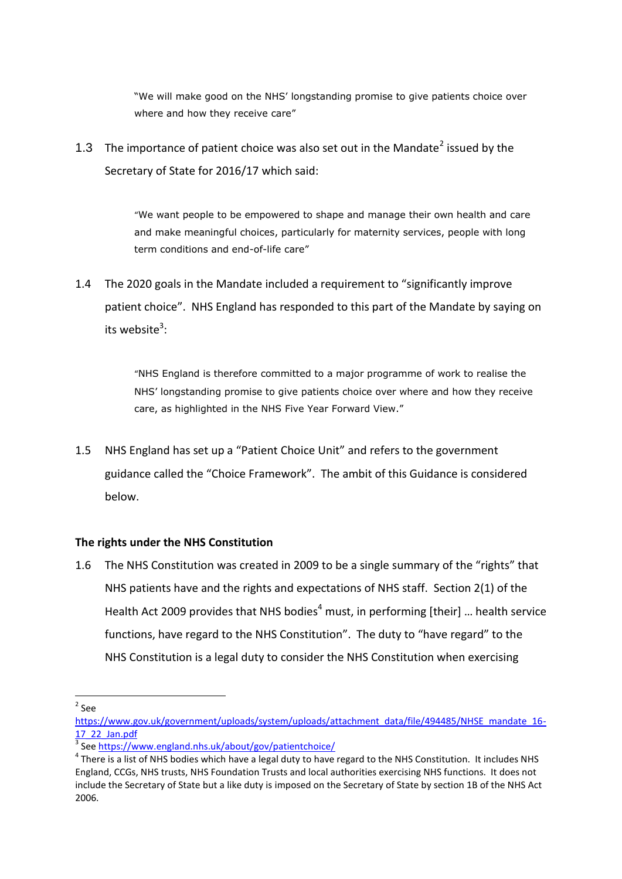"We will make good on the NHS' longstanding promise to give patients choice over where and how they receive care"

1.3 The importance of patient choice was also set out in the Mandate<sup>2</sup> issued by the Secretary of State for 2016/17 which said:

> "We want people to be empowered to shape and manage their own health and care and make meaningful choices, particularly for maternity services, people with long term conditions and end-of-life care"

1.4 The 2020 goals in the Mandate included a requirement to "significantly improve patient choice". NHS England has responded to this part of the Mandate by saying on its website $^3$ :

> "NHS England is therefore committed to a major programme of work to realise the NHS' longstanding promise to give patients choice over where and how they receive care, as highlighted in the NHS Five Year Forward View."

1.5 NHS England has set up a "Patient Choice Unit" and refers to the government guidance called the "Choice Framework". The ambit of this Guidance is considered below.

### **The rights under the NHS Constitution**

1.6 The NHS Constitution was created in 2009 to be a single summary of the "rights" that NHS patients have and the rights and expectations of NHS staff. Section 2(1) of the Health Act 2009 provides that NHS bodies<sup>4</sup> must, in performing [their] ... health service functions, have regard to the NHS Constitution". The duty to "have regard" to the NHS Constitution is a legal duty to consider the NHS Constitution when exercising

- $2$  See

[https://www.gov.uk/government/uploads/system/uploads/attachment\\_data/file/494485/NHSE\\_mandate\\_16-](https://www.gov.uk/government/uploads/system/uploads/attachment_data/file/494485/NHSE_mandate_16-17_22_Jan.pdf) [17\\_22\\_Jan.pdf](https://www.gov.uk/government/uploads/system/uploads/attachment_data/file/494485/NHSE_mandate_16-17_22_Jan.pdf)

<sup>&</sup>lt;sup>3</sup> See<https://www.england.nhs.uk/about/gov/patientchoice/>

 $^4$  There is a list of NHS bodies which have a legal duty to have regard to the NHS Constitution. It includes NHS England, CCGs, NHS trusts, NHS Foundation Trusts and local authorities exercising NHS functions. It does not include the Secretary of State but a like duty is imposed on the Secretary of State by section 1B of the NHS Act 2006.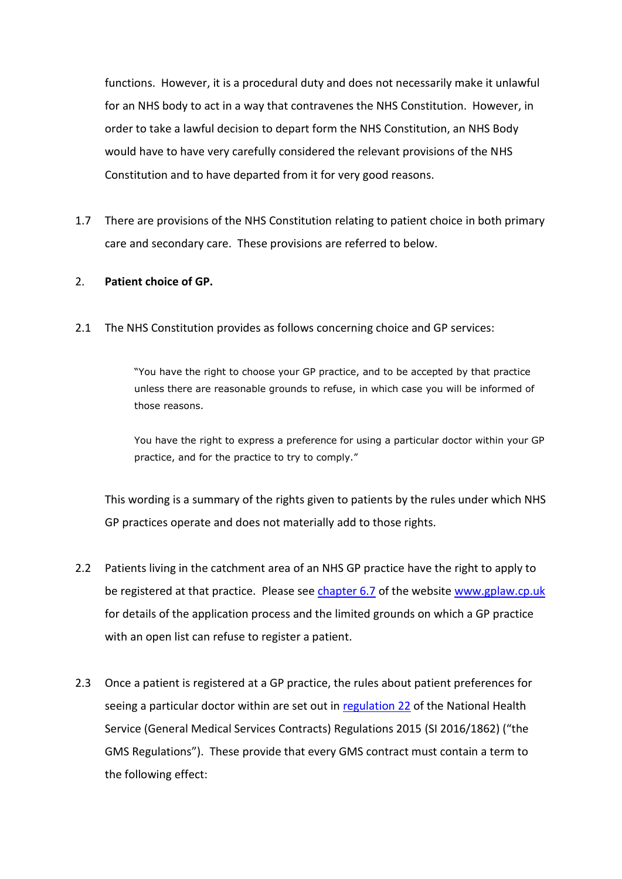functions. However, it is a procedural duty and does not necessarily make it unlawful for an NHS body to act in a way that contravenes the NHS Constitution. However, in order to take a lawful decision to depart form the NHS Constitution, an NHS Body would have to have very carefully considered the relevant provisions of the NHS Constitution and to have departed from it for very good reasons.

1.7 There are provisions of the NHS Constitution relating to patient choice in both primary care and secondary care. These provisions are referred to below.

### 2. **Patient choice of GP.**

2.1 The NHS Constitution provides as follows concerning choice and GP services:

"You have the right to choose your GP practice, and to be accepted by that practice unless there are reasonable grounds to refuse, in which case you will be informed of those reasons.

You have the right to express a preference for using a particular doctor within your GP practice, and for the practice to try to comply."

This wording is a summary of the rights given to patients by the rules under which NHS GP practices operate and does not materially add to those rights.

- 2.2 Patients living in the catchment area of an NHS GP practice have the right to apply to be registered at that practice. Please see [chapter 6.7](http://www.gplaw.co.uk/chapter-6-management-of-the-practice-list-of-patients#chapter607) of the website [www.gplaw.cp.uk](http://www.gplaw.cp.uk/) for details of the application process and the limited grounds on which a GP practice with an open list can refuse to register a patient.
- 2.3 Once a patient is registered at a GP practice, the rules about patient preferences for seeing a particular doctor within are set out in [regulation 22](http://www.legislation.gov.uk/uksi/2015/1862/schedule/3/paragraph/22/made) of the National Health Service (General Medical Services Contracts) Regulations 2015 (SI 2016/1862) ("the GMS Regulations"). These provide that every GMS contract must contain a term to the following effect: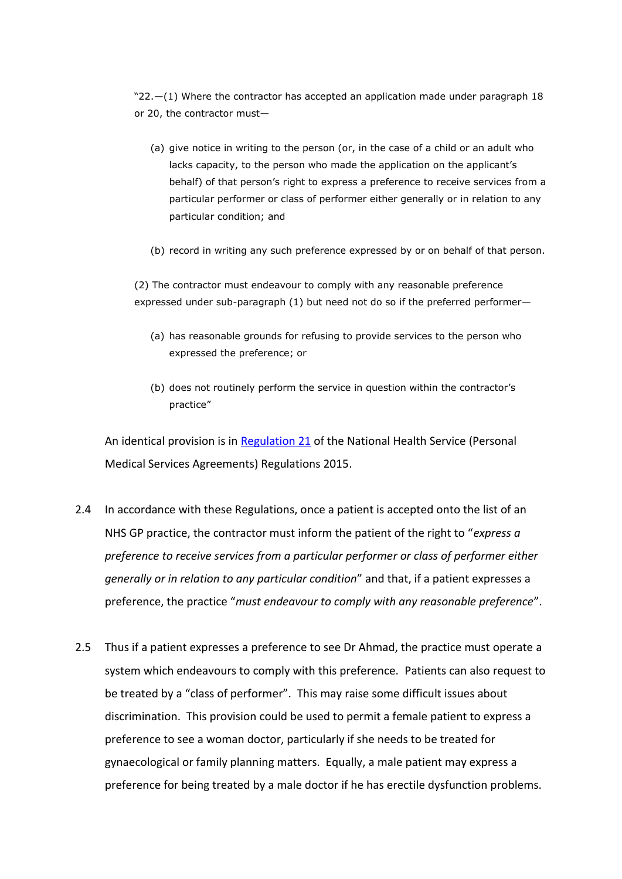"22.—(1) Where the contractor has accepted an application made under paragraph 18 or 20, the contractor must—

- (a) give notice in writing to the person (or, in the case of a child or an adult who lacks capacity, to the person who made the application on the applicant's behalf) of that person's right to express a preference to receive services from a particular performer or class of performer either generally or in relation to any particular condition; and
- (b) record in writing any such preference expressed by or on behalf of that person.

(2) The contractor must endeavour to comply with any reasonable preference expressed under sub-paragraph (1) but need not do so if the preferred performer—

- (a) has reasonable grounds for refusing to provide services to the person who expressed the preference; or
- (b) does not routinely perform the service in question within the contractor's practice"

An identical provision is in [Regulation 21](http://www.legislation.gov.uk/uksi/2015/1879/schedule/2/paragraph/21/made) of the National Health Service (Personal Medical Services Agreements) Regulations 2015.

- 2.4 In accordance with these Regulations, once a patient is accepted onto the list of an NHS GP practice, the contractor must inform the patient of the right to "*express a preference to receive services from a particular performer or class of performer either generally or in relation to any particular condition*" and that, if a patient expresses a preference, the practice "*must endeavour to comply with any reasonable preference*".
- 2.5 Thus if a patient expresses a preference to see Dr Ahmad, the practice must operate a system which endeavours to comply with this preference. Patients can also request to be treated by a "class of performer". This may raise some difficult issues about discrimination. This provision could be used to permit a female patient to express a preference to see a woman doctor, particularly if she needs to be treated for gynaecological or family planning matters. Equally, a male patient may express a preference for being treated by a male doctor if he has erectile dysfunction problems.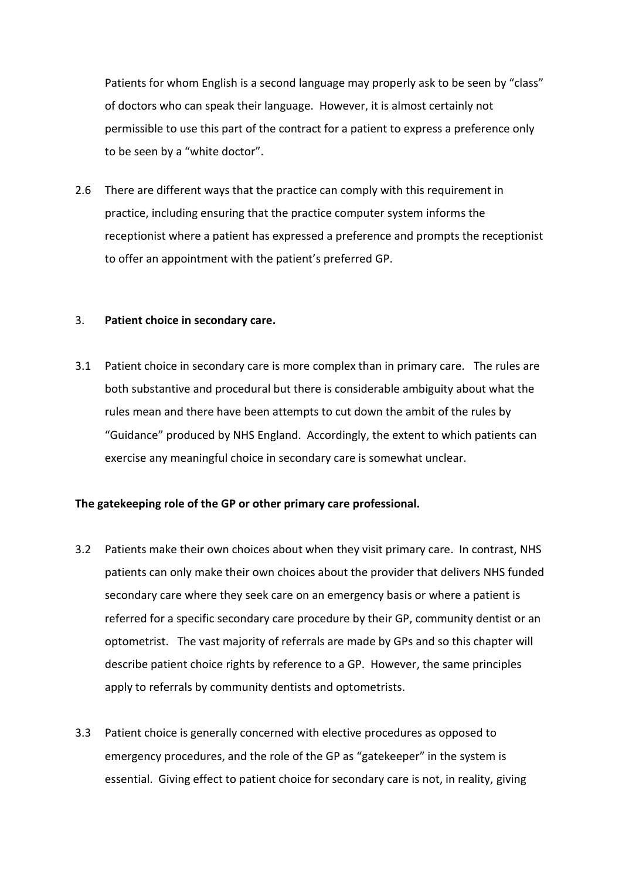Patients for whom English is a second language may properly ask to be seen by "class" of doctors who can speak their language. However, it is almost certainly not permissible to use this part of the contract for a patient to express a preference only to be seen by a "white doctor".

2.6 There are different ways that the practice can comply with this requirement in practice, including ensuring that the practice computer system informs the receptionist where a patient has expressed a preference and prompts the receptionist to offer an appointment with the patient's preferred GP.

#### 3. **Patient choice in secondary care.**

3.1 Patient choice in secondary care is more complex than in primary care. The rules are both substantive and procedural but there is considerable ambiguity about what the rules mean and there have been attempts to cut down the ambit of the rules by "Guidance" produced by NHS England. Accordingly, the extent to which patients can exercise any meaningful choice in secondary care is somewhat unclear.

#### **The gatekeeping role of the GP or other primary care professional.**

- 3.2 Patients make their own choices about when they visit primary care. In contrast, NHS patients can only make their own choices about the provider that delivers NHS funded secondary care where they seek care on an emergency basis or where a patient is referred for a specific secondary care procedure by their GP, community dentist or an optometrist. The vast majority of referrals are made by GPs and so this chapter will describe patient choice rights by reference to a GP. However, the same principles apply to referrals by community dentists and optometrists.
- 3.3 Patient choice is generally concerned with elective procedures as opposed to emergency procedures, and the role of the GP as "gatekeeper" in the system is essential. Giving effect to patient choice for secondary care is not, in reality, giving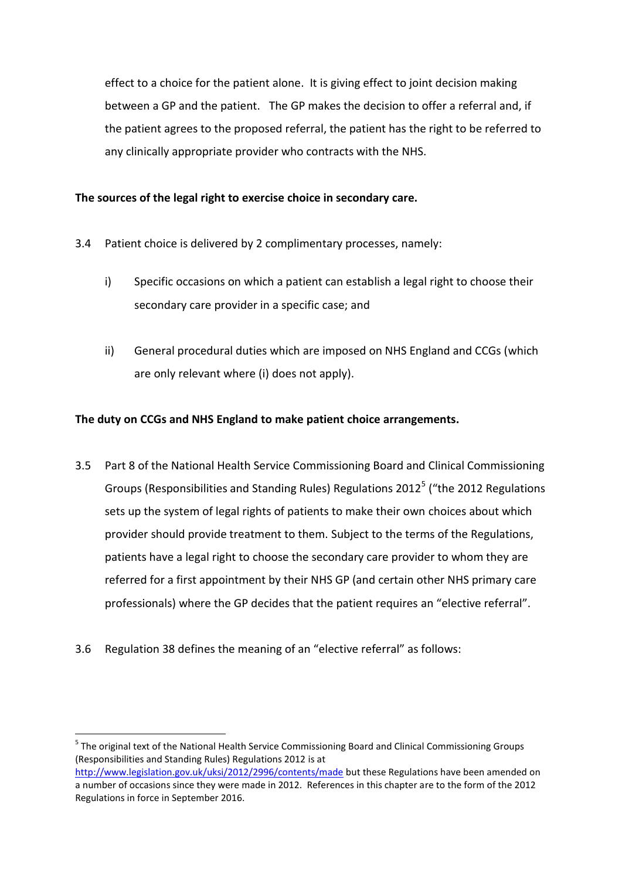effect to a choice for the patient alone. It is giving effect to joint decision making between a GP and the patient. The GP makes the decision to offer a referral and, if the patient agrees to the proposed referral, the patient has the right to be referred to any clinically appropriate provider who contracts with the NHS.

### **The sources of the legal right to exercise choice in secondary care.**

- 3.4 Patient choice is delivered by 2 complimentary processes, namely:
	- i) Specific occasions on which a patient can establish a legal right to choose their secondary care provider in a specific case; and
	- ii) General procedural duties which are imposed on NHS England and CCGs (which are only relevant where (i) does not apply).

### **The duty on CCGs and NHS England to make patient choice arrangements.**

- 3.5 Part 8 of the National Health Service Commissioning Board and Clinical Commissioning Groups (Responsibilities and Standing Rules) Regulations 2012<sup>5</sup> ("the 2012 Regulations sets up the system of legal rights of patients to make their own choices about which provider should provide treatment to them. Subject to the terms of the Regulations, patients have a legal right to choose the secondary care provider to whom they are referred for a first appointment by their NHS GP (and certain other NHS primary care professionals) where the GP decides that the patient requires an "elective referral".
- 3.6 Regulation 38 defines the meaning of an "elective referral" as follows:

-

<sup>&</sup>lt;sup>5</sup> The original text of the National Health Service Commissioning Board and Clinical Commissioning Groups (Responsibilities and Standing Rules) Regulations 2012 is at <http://www.legislation.gov.uk/uksi/2012/2996/contents/made> but these Regulations have been amended on a number of occasions since they were made in 2012. References in this chapter are to the form of the 2012 Regulations in force in September 2016.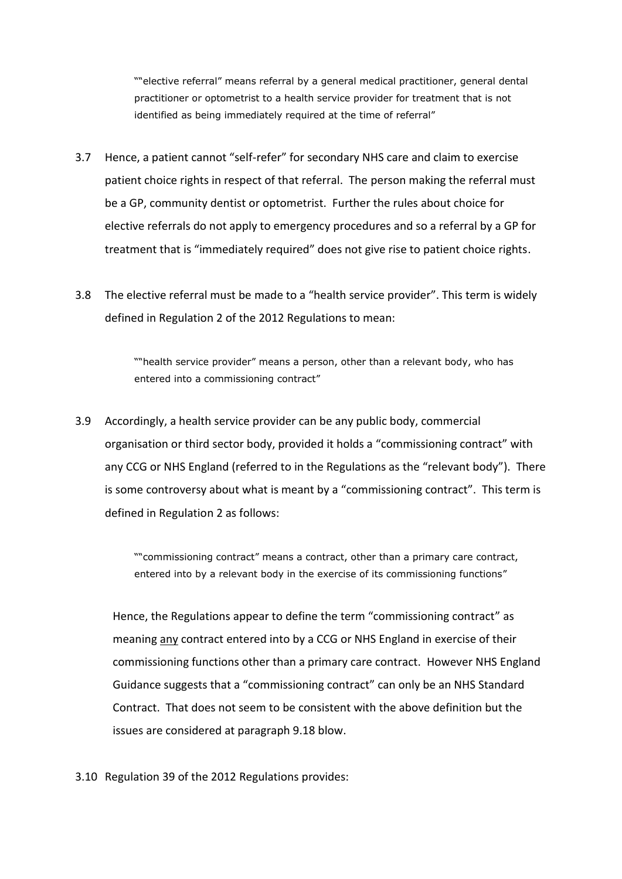""elective referral" means referral by a general medical practitioner, general dental practitioner or optometrist to a health service provider for treatment that is not identified as being immediately required at the time of referral"

- 3.7 Hence, a patient cannot "self-refer" for secondary NHS care and claim to exercise patient choice rights in respect of that referral. The person making the referral must be a GP, community dentist or optometrist. Further the rules about choice for elective referrals do not apply to emergency procedures and so a referral by a GP for treatment that is "immediately required" does not give rise to patient choice rights.
- 3.8 The elective referral must be made to a "health service provider". This term is widely defined in Regulation 2 of the 2012 Regulations to mean:

""health service provider" means a person, other than a relevant body, who has entered into a commissioning contract"

3.9 Accordingly, a health service provider can be any public body, commercial organisation or third sector body, provided it holds a "commissioning contract" with any CCG or NHS England (referred to in the Regulations as the "relevant body"). There is some controversy about what is meant by a "commissioning contract". This term is defined in Regulation 2 as follows:

> ""commissioning contract" means a contract, other than a primary care contract, entered into by a relevant body in the exercise of its commissioning functions"

Hence, the Regulations appear to define the term "commissioning contract" as meaning any contract entered into by a CCG or NHS England in exercise of their commissioning functions other than a primary care contract. However NHS England Guidance suggests that a "commissioning contract" can only be an NHS Standard Contract. That does not seem to be consistent with the above definition but the issues are considered at paragraph [9.18](#page-24-0) blow.

3.10 Regulation 39 of the 2012 Regulations provides: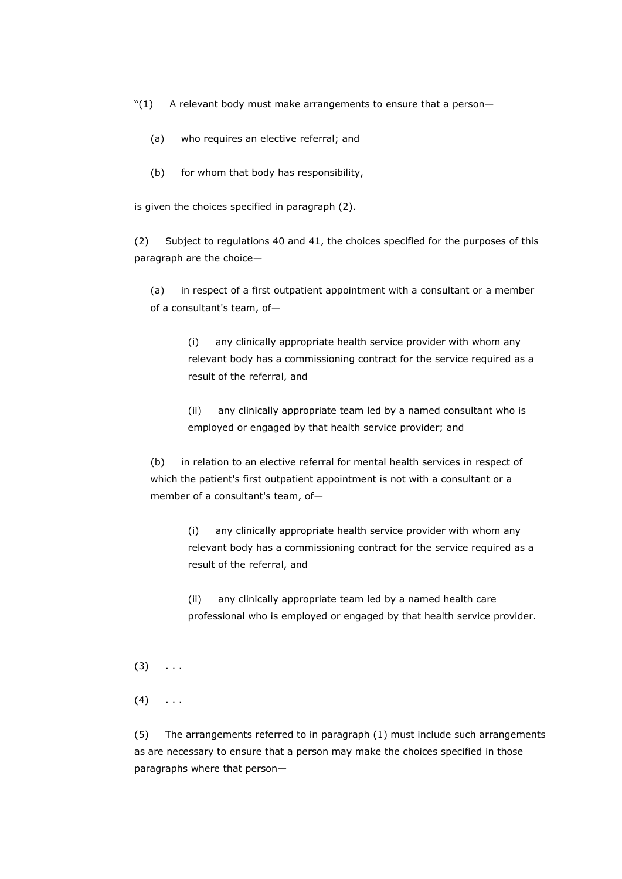"(1) A relevant body must make arrangements to ensure that a person—

- (a) who requires an elective referral; and
- (b) for whom that body has responsibility,

is given the choices specified in paragraph (2).

(2) Subject to regulations 40 and 41, the choices specified for the purposes of this paragraph are the choice—

(a) in respect of a first outpatient appointment with a consultant or a member of a consultant's team, of—

(i) any clinically appropriate health service provider with whom any relevant body has a commissioning contract for the service required as a result of the referral, and

(ii) any clinically appropriate team led by a named consultant who is employed or engaged by that health service provider; and

(b) in relation to an elective referral for mental health services in respect of which the patient's first outpatient appointment is not with a consultant or a member of a consultant's team, of—

(i) any clinically appropriate health service provider with whom any relevant body has a commissioning contract for the service required as a result of the referral, and

(ii) any clinically appropriate team led by a named health care professional who is employed or engaged by that health service provider.

- $(3) \ldots$
- $(4) \quad . . .$

(5) The arrangements referred to in paragraph (1) must include such arrangements as are necessary to ensure that a person may make the choices specified in those paragraphs where that person—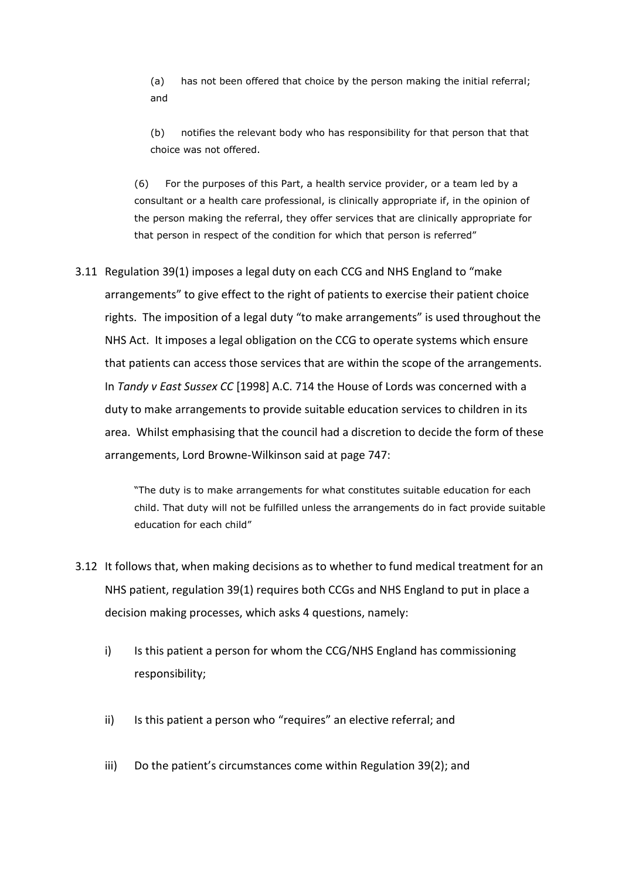(a) has not been offered that choice by the person making the initial referral; and

(b) notifies the relevant body who has responsibility for that person that that choice was not offered.

(6) For the purposes of this Part, a health service provider, or a team led by a consultant or a health care professional, is clinically appropriate if, in the opinion of the person making the referral, they offer services that are clinically appropriate for that person in respect of the condition for which that person is referred"

3.11 Regulation 39(1) imposes a legal duty on each CCG and NHS England to "make arrangements" to give effect to the right of patients to exercise their patient choice rights. The imposition of a legal duty "to make arrangements" is used throughout the NHS Act. It imposes a legal obligation on the CCG to operate systems which ensure that patients can access those services that are within the scope of the arrangements. In *Tandy v East Sussex CC* [1998] A.C. 714 the House of Lords was concerned with a duty to make arrangements to provide suitable education services to children in its area. Whilst emphasising that the council had a discretion to decide the form of these arrangements, Lord Browne-Wilkinson said at page 747:

> "The duty is to make arrangements for what constitutes suitable education for each child. That duty will not be fulfilled unless the arrangements do in fact provide suitable education for each child"

- 3.12 It follows that, when making decisions as to whether to fund medical treatment for an NHS patient, regulation 39(1) requires both CCGs and NHS England to put in place a decision making processes, which asks 4 questions, namely:
	- i) Is this patient a person for whom the CCG/NHS England has commissioning responsibility;
	- ii) Is this patient a person who "requires" an elective referral; and
	- iii) Do the patient's circumstances come within Regulation 39(2); and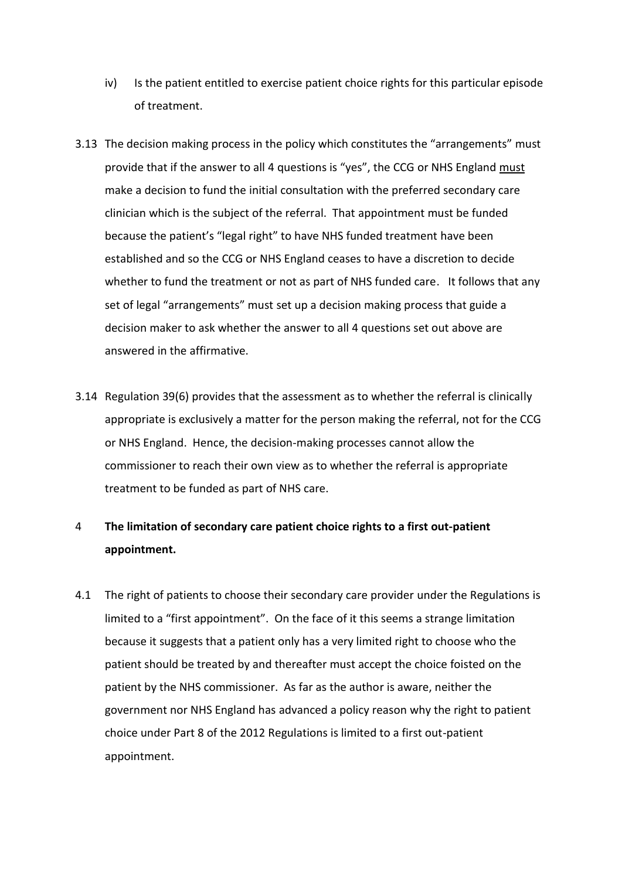- iv) Is the patient entitled to exercise patient choice rights for this particular episode of treatment.
- 3.13 The decision making process in the policy which constitutes the "arrangements" must provide that if the answer to all 4 questions is "yes", the CCG or NHS England must make a decision to fund the initial consultation with the preferred secondary care clinician which is the subject of the referral. That appointment must be funded because the patient's "legal right" to have NHS funded treatment have been established and so the CCG or NHS England ceases to have a discretion to decide whether to fund the treatment or not as part of NHS funded care. It follows that any set of legal "arrangements" must set up a decision making process that guide a decision maker to ask whether the answer to all 4 questions set out above are answered in the affirmative.
- 3.14 Regulation 39(6) provides that the assessment as to whether the referral is clinically appropriate is exclusively a matter for the person making the referral, not for the CCG or NHS England. Hence, the decision-making processes cannot allow the commissioner to reach their own view as to whether the referral is appropriate treatment to be funded as part of NHS care.

## 4 **The limitation of secondary care patient choice rights to a first out-patient appointment.**

4.1 The right of patients to choose their secondary care provider under the Regulations is limited to a "first appointment". On the face of it this seems a strange limitation because it suggests that a patient only has a very limited right to choose who the patient should be treated by and thereafter must accept the choice foisted on the patient by the NHS commissioner. As far as the author is aware, neither the government nor NHS England has advanced a policy reason why the right to patient choice under Part 8 of the 2012 Regulations is limited to a first out-patient appointment.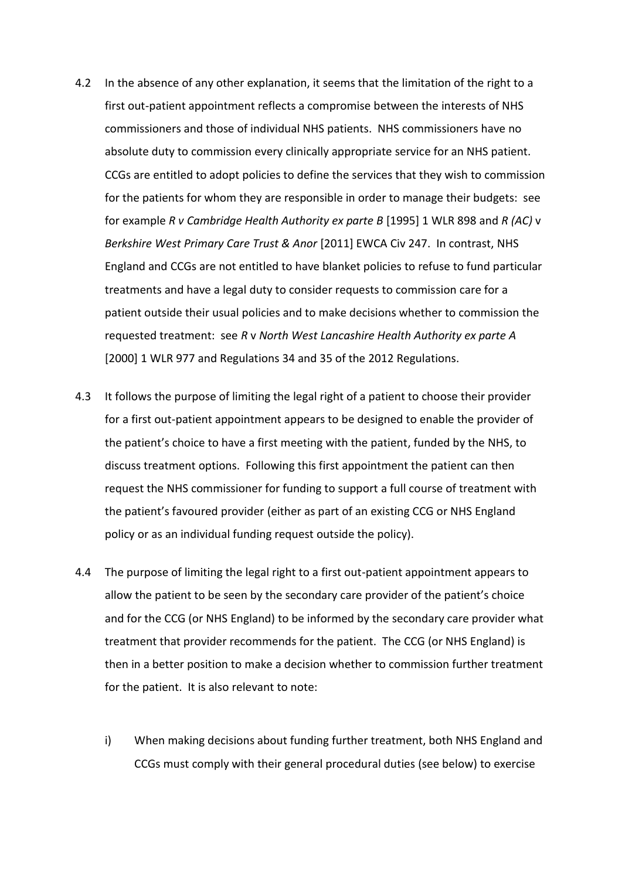- 4.2 In the absence of any other explanation, it seems that the limitation of the right to a first out-patient appointment reflects a compromise between the interests of NHS commissioners and those of individual NHS patients. NHS commissioners have no absolute duty to commission every clinically appropriate service for an NHS patient. CCGs are entitled to adopt policies to define the services that they wish to commission for the patients for whom they are responsible in order to manage their budgets: see for example *R v Cambridge Health Authority ex parte B* [1995] 1 WLR 898 and *R (AC)* v *Berkshire West Primary Care Trust & Anor* [2011] EWCA Civ 247. In contrast, NHS England and CCGs are not entitled to have blanket policies to refuse to fund particular treatments and have a legal duty to consider requests to commission care for a patient outside their usual policies and to make decisions whether to commission the requested treatment: see *R* v *North West Lancashire Health Authority ex parte A* [2000] 1 WLR 977 and Regulations 34 and 35 of the 2012 Regulations.
- 4.3 It follows the purpose of limiting the legal right of a patient to choose their provider for a first out-patient appointment appears to be designed to enable the provider of the patient's choice to have a first meeting with the patient, funded by the NHS, to discuss treatment options. Following this first appointment the patient can then request the NHS commissioner for funding to support a full course of treatment with the patient's favoured provider (either as part of an existing CCG or NHS England policy or as an individual funding request outside the policy).
- 4.4 The purpose of limiting the legal right to a first out-patient appointment appears to allow the patient to be seen by the secondary care provider of the patient's choice and for the CCG (or NHS England) to be informed by the secondary care provider what treatment that provider recommends for the patient. The CCG (or NHS England) is then in a better position to make a decision whether to commission further treatment for the patient. It is also relevant to note:
	- i) When making decisions about funding further treatment, both NHS England and CCGs must comply with their general procedural duties (see below) to exercise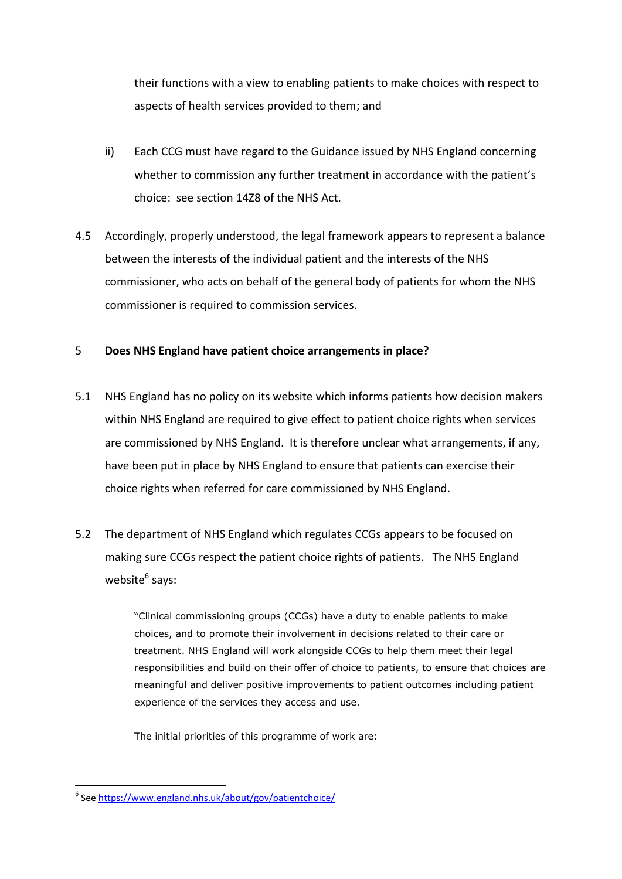their functions with a view to enabling patients to make choices with respect to aspects of health services provided to them; and

- ii) Each CCG must have regard to the Guidance issued by NHS England concerning whether to commission any further treatment in accordance with the patient's choice: see section 14Z8 of the NHS Act.
- 4.5 Accordingly, properly understood, the legal framework appears to represent a balance between the interests of the individual patient and the interests of the NHS commissioner, who acts on behalf of the general body of patients for whom the NHS commissioner is required to commission services.

### 5 **Does NHS England have patient choice arrangements in place?**

- 5.1 NHS England has no policy on its website which informs patients how decision makers within NHS England are required to give effect to patient choice rights when services are commissioned by NHS England. It is therefore unclear what arrangements, if any, have been put in place by NHS England to ensure that patients can exercise their choice rights when referred for care commissioned by NHS England.
- 5.2 The department of NHS England which regulates CCGs appears to be focused on making sure CCGs respect the patient choice rights of patients. The NHS England website<sup>6</sup> says:

"Clinical commissioning groups (CCGs) have a duty to enable patients to make choices, and to promote their involvement in decisions related to their care or treatment. NHS England will work alongside CCGs to help them meet their legal responsibilities and build on their offer of choice to patients, to ensure that choices are meaningful and deliver positive improvements to patient outcomes including patient experience of the services they access and use.

The initial priorities of this programme of work are:

 6 See<https://www.england.nhs.uk/about/gov/patientchoice/>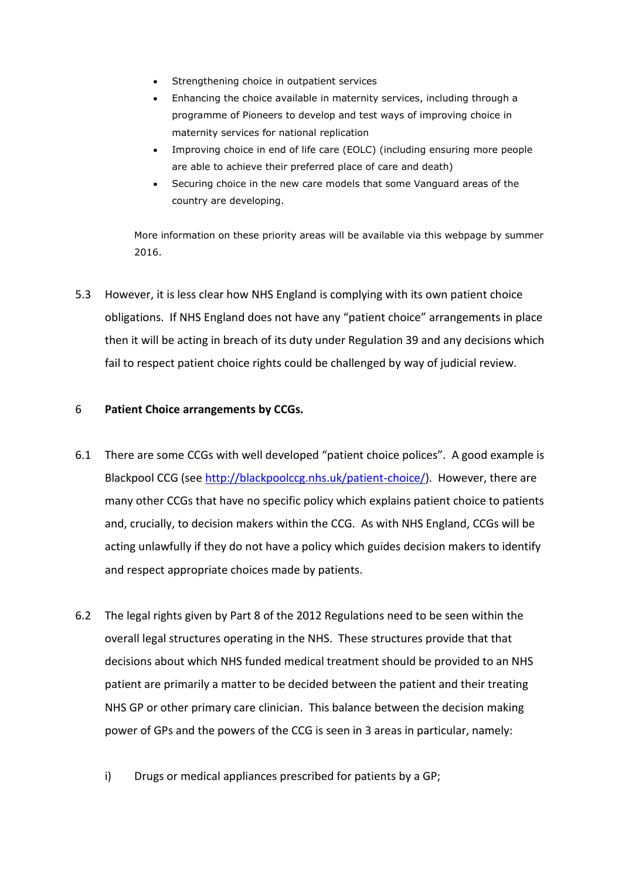- Strengthening [choice in outpatient services](https://www.england.nhs.uk/about/gov/patientchoice/outpatient-service/)
- Enhancing the [choice available in maternity services,](https://www.england.nhs.uk/about/gov/patientchoice/change-programmes#maternity) including through a programme of Pioneers to develop and test ways of improving choice in maternity services for national replication
- Improving [choice in end of life care \(EOLC\)](https://www.england.nhs.uk/about/gov/patientchoice/change-programmes#eolc) (including ensuring more people are able to achieve their preferred place of care and death)
- Securing choice in the [new care models](https://www.england.nhs.uk/about/gov/patientchoice/change-programmes#ncm) that some Vanguard areas of the country are developing.

More information on these priority areas will be available via this webpage by summer 2016.

5.3 However, it is less clear how NHS England is complying with its own patient choice obligations. If NHS England does not have any "patient choice" arrangements in place then it will be acting in breach of its duty under Regulation 39 and any decisions which fail to respect patient choice rights could be challenged by way of judicial review.

### 6 **Patient Choice arrangements by CCGs.**

- 6.1 There are some CCGs with well developed "patient choice polices". A good example is Blackpool CCG (see [http://blackpoolccg.nhs.uk/patient-choice/\)](http://blackpoolccg.nhs.uk/patient-choice/). However, there are many other CCGs that have no specific policy which explains patient choice to patients and, crucially, to decision makers within the CCG. As with NHS England, CCGs will be acting unlawfully if they do not have a policy which guides decision makers to identify and respect appropriate choices made by patients.
- 6.2 The legal rights given by Part 8 of the 2012 Regulations need to be seen within the overall legal structures operating in the NHS. These structures provide that that decisions about which NHS funded medical treatment should be provided to an NHS patient are primarily a matter to be decided between the patient and their treating NHS GP or other primary care clinician. This balance between the decision making power of GPs and the powers of the CCG is seen in 3 areas in particular, namely:
	- i) Drugs or medical appliances prescribed for patients by a GP;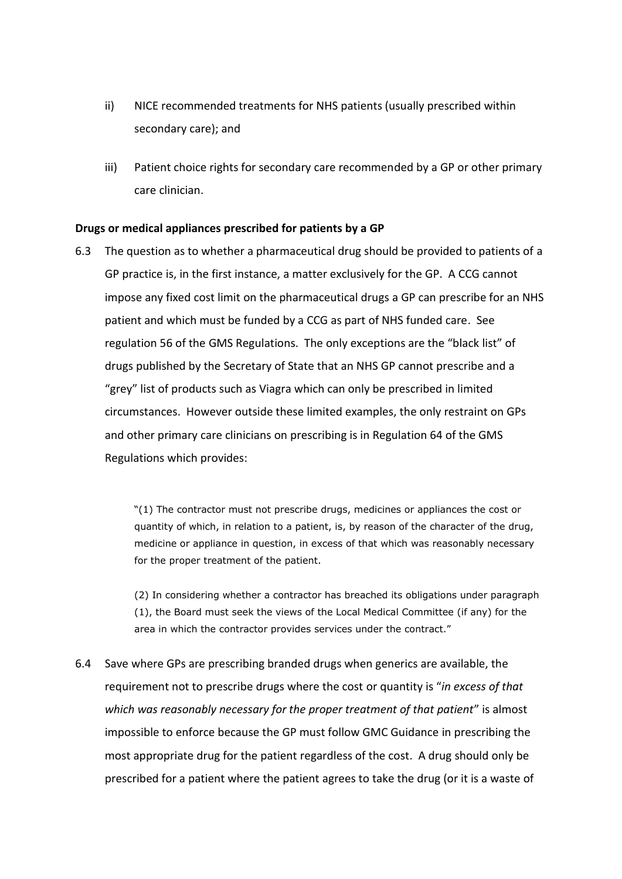- ii) NICE recommended treatments for NHS patients (usually prescribed within secondary care); and
- iii) Patient choice rights for secondary care recommended by a GP or other primary care clinician.

#### **Drugs or medical appliances prescribed for patients by a GP**

6.3 The question as to whether a pharmaceutical drug should be provided to patients of a GP practice is, in the first instance, a matter exclusively for the GP. A CCG cannot impose any fixed cost limit on the pharmaceutical drugs a GP can prescribe for an NHS patient and which must be funded by a CCG as part of NHS funded care. See regulation 56 of the GMS Regulations. The only exceptions are the "black list" of drugs published by the Secretary of State that an NHS GP cannot prescribe and a "grey" list of products such as Viagra which can only be prescribed in limited circumstances. However outside these limited examples, the only restraint on GPs and other primary care clinicians on prescribing is in Regulation 64 of the GMS Regulations which provides:

> "(1) The contractor must not prescribe drugs, medicines or appliances the cost or quantity of which, in relation to a patient, is, by reason of the character of the drug, medicine or appliance in question, in excess of that which was reasonably necessary for the proper treatment of the patient.

(2) In considering whether a contractor has breached its obligations under paragraph (1), the Board must seek the views of the Local Medical Committee (if any) for the area in which the contractor provides services under the contract."

6.4 Save where GPs are prescribing branded drugs when generics are available, the requirement not to prescribe drugs where the cost or quantity is "*in excess of that which was reasonably necessary for the proper treatment of that patient*" is almost impossible to enforce because the GP must follow GMC Guidance in prescribing the most appropriate drug for the patient regardless of the cost. A drug should only be prescribed for a patient where the patient agrees to take the drug (or it is a waste of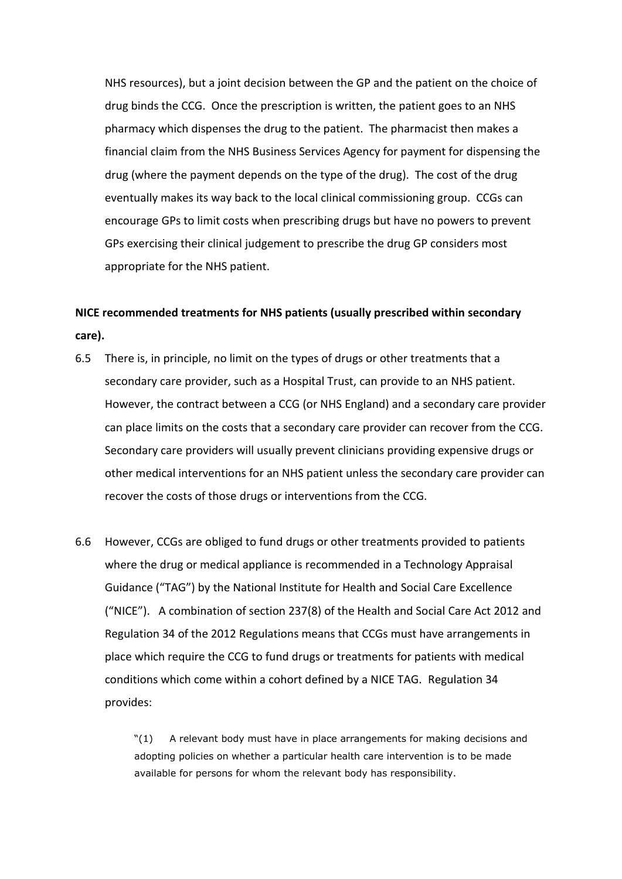NHS resources), but a joint decision between the GP and the patient on the choice of drug binds the CCG. Once the prescription is written, the patient goes to an NHS pharmacy which dispenses the drug to the patient. The pharmacist then makes a financial claim from the NHS Business Services Agency for payment for dispensing the drug (where the payment depends on the type of the drug). The cost of the drug eventually makes its way back to the local clinical commissioning group. CCGs can encourage GPs to limit costs when prescribing drugs but have no powers to prevent GPs exercising their clinical judgement to prescribe the drug GP considers most appropriate for the NHS patient.

## **NICE recommended treatments for NHS patients (usually prescribed within secondary care).**

- 6.5 There is, in principle, no limit on the types of drugs or other treatments that a secondary care provider, such as a Hospital Trust, can provide to an NHS patient. However, the contract between a CCG (or NHS England) and a secondary care provider can place limits on the costs that a secondary care provider can recover from the CCG. Secondary care providers will usually prevent clinicians providing expensive drugs or other medical interventions for an NHS patient unless the secondary care provider can recover the costs of those drugs or interventions from the CCG.
- 6.6 However, CCGs are obliged to fund drugs or other treatments provided to patients where the drug or medical appliance is recommended in a Technology Appraisal Guidance ("TAG") by the National Institute for Health and Social Care Excellence ("NICE"). A combination of section 237(8) of the Health and Social Care Act 2012 and Regulation 34 of the 2012 Regulations means that CCGs must have arrangements in place which require the CCG to fund drugs or treatments for patients with medical conditions which come within a cohort defined by a NICE TAG. Regulation 34 provides:

"(1) A relevant body must have in place arrangements for making decisions and adopting policies on whether a particular health care intervention is to be made available for persons for whom the relevant body has responsibility.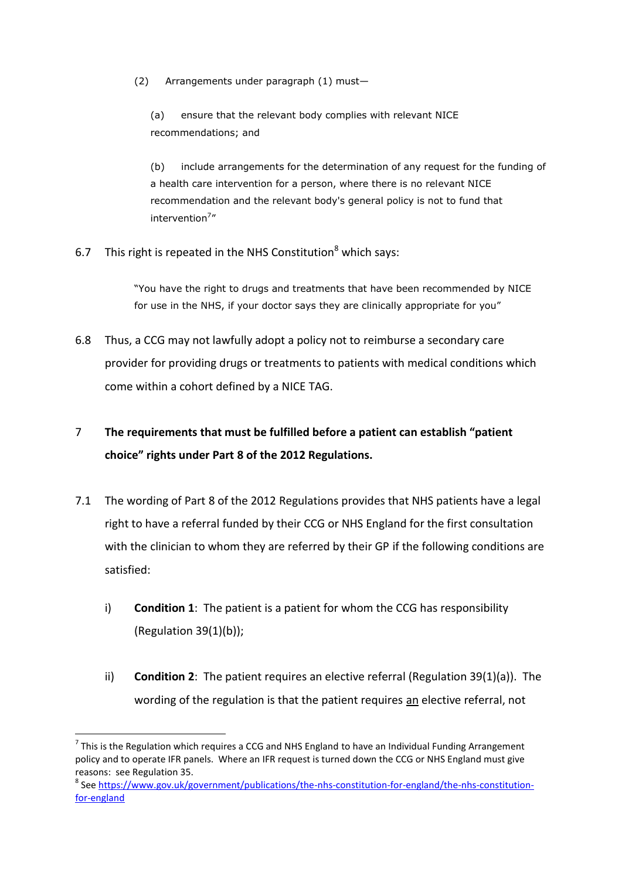(2) Arrangements under paragraph (1) must—

(a) ensure that the relevant body complies with relevant NICE recommendations; and

(b) include arrangements for the determination of any request for the funding of a health care intervention for a person, where there is no relevant NICE recommendation and the relevant body's general policy is not to fund that intervention<sup>7</sup>"

6.7 This right is repeated in the NHS Constitution<sup>8</sup> which says:

"You have the right to drugs and treatments that have been recommended by NICE for use in the NHS, if your doctor says they are clinically appropriate for you"

6.8 Thus, a CCG may not lawfully adopt a policy not to reimburse a secondary care provider for providing drugs or treatments to patients with medical conditions which come within a cohort defined by a NICE TAG.

## 7 **The requirements that must be fulfilled before a patient can establish "patient choice" rights under Part 8 of the 2012 Regulations.**

- 7.1 The wording of Part 8 of the 2012 Regulations provides that NHS patients have a legal right to have a referral funded by their CCG or NHS England for the first consultation with the clinician to whom they are referred by their GP if the following conditions are satisfied:
	- i) **Condition 1**: The patient is a patient for whom the CCG has responsibility (Regulation 39(1)(b));
	- ii) **Condition 2**: The patient requires an elective referral (Regulation 39(1)(a)). The wording of the regulation is that the patient requires an elective referral, not

-

 $^7$  This is the Regulation which requires a CCG and NHS England to have an Individual Funding Arrangement policy and to operate IFR panels. Where an IFR request is turned down the CCG or NHS England must give reasons: see Regulation 35.

<sup>&</sup>lt;sup>8</sup> See [https://www.gov.uk/government/publications/the-nhs-constitution-for-england/the-nhs-constitution](https://www.gov.uk/government/publications/the-nhs-constitution-for-england/the-nhs-constitution-for-england)[for-england](https://www.gov.uk/government/publications/the-nhs-constitution-for-england/the-nhs-constitution-for-england)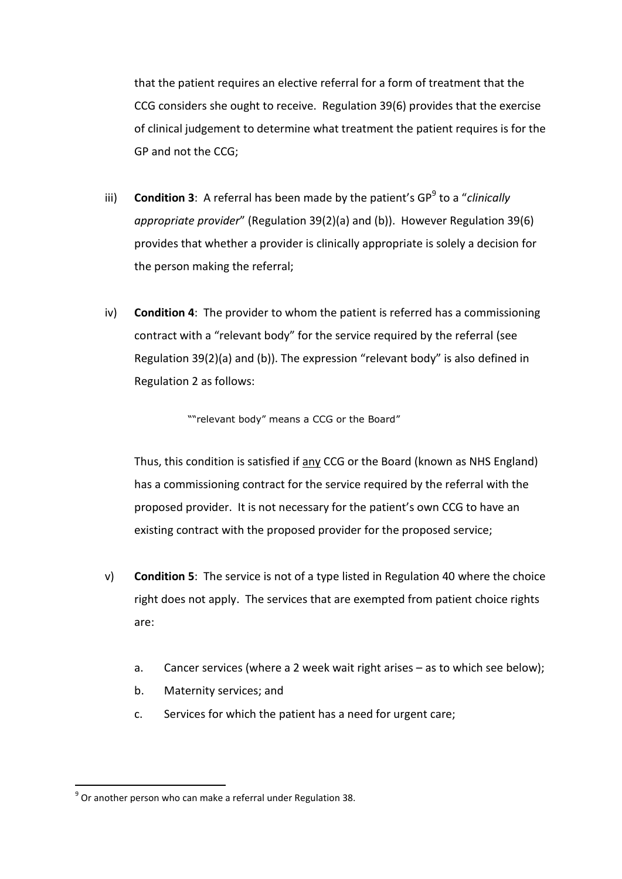that the patient requires an elective referral for a form of treatment that the CCG considers she ought to receive. Regulation 39(6) provides that the exercise of clinical judgement to determine what treatment the patient requires is for the GP and not the CCG;

- iii) **Condition 3**: A referral has been made by the patient's GP<sup>9</sup> to a "*clinically appropriate provider*" (Regulation 39(2)(a) and (b)). However Regulation 39(6) provides that whether a provider is clinically appropriate is solely a decision for the person making the referral;
- iv) **Condition 4**: The provider to whom the patient is referred has a commissioning contract with a "relevant body" for the service required by the referral (see Regulation 39(2)(a) and (b)). The expression "relevant body" is also defined in Regulation 2 as follows:

""relevant body" means a CCG or the Board"

Thus, this condition is satisfied if any CCG or the Board (known as NHS England) has a commissioning contract for the service required by the referral with the proposed provider. It is not necessary for the patient's own CCG to have an existing contract with the proposed provider for the proposed service;

- v) **Condition 5**: The service is not of a type listed in Regulation 40 where the choice right does not apply. The services that are exempted from patient choice rights are:
	- a. Cancer services (where a 2 week wait right arises as to which see below);
	- b. Maternity services; and
	- c. Services for which the patient has a need for urgent care;

1

 $^{9}$  Or another person who can make a referral under Regulation 38.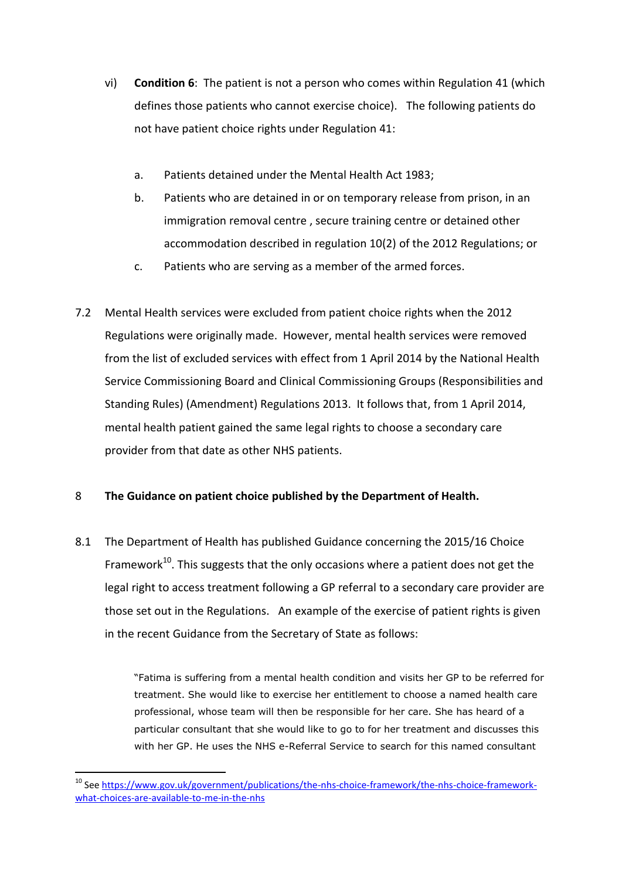- vi) **Condition 6**: The patient is not a person who comes within Regulation 41 (which defines those patients who cannot exercise choice). The following patients do not have patient choice rights under Regulation 41:
	- a. Patients detained under the Mental Health Act 1983;
	- b. Patients who are detained in or on temporary release from prison, in an immigration removal centre , secure training centre or detained other accommodation described in regulation 10(2) of the 2012 Regulations; or
	- c. Patients who are serving as a member of the armed forces.
- 7.2 Mental Health services were excluded from patient choice rights when the 2012 Regulations were originally made. However, mental health services were removed from the list of excluded services with effect from 1 April 2014 by the National Health Service Commissioning Board and Clinical Commissioning Groups (Responsibilities and Standing Rules) (Amendment) Regulations 2013. It follows that, from 1 April 2014, mental health patient gained the same legal rights to choose a secondary care provider from that date as other NHS patients.

### 8 **The Guidance on patient choice published by the Department of Health.**

8.1 The Department of Health has published Guidance concerning the 2015/16 Choice Framework $^{10}$ . This suggests that the only occasions where a patient does not get the legal right to access treatment following a GP referral to a secondary care provider are those set out in the Regulations. An example of the exercise of patient rights is given in the recent Guidance from the Secretary of State as follows:

> "Fatima is suffering from a mental health condition and visits her GP to be referred for treatment. She would like to exercise her entitlement to choose a named health care professional, whose team will then be responsible for her care. She has heard of a particular consultant that she would like to go to for her treatment and discusses this with her GP. He uses the NHS e-Referral Service to search for this named consultant

<sup>10</sup> Se[e https://www.gov.uk/government/publications/the-nhs-choice-framework/the-nhs-choice-framework](https://www.gov.uk/government/publications/the-nhs-choice-framework/the-nhs-choice-framework-what-choices-are-available-to-me-in-the-nhs)[what-choices-are-available-to-me-in-the-nhs](https://www.gov.uk/government/publications/the-nhs-choice-framework/the-nhs-choice-framework-what-choices-are-available-to-me-in-the-nhs)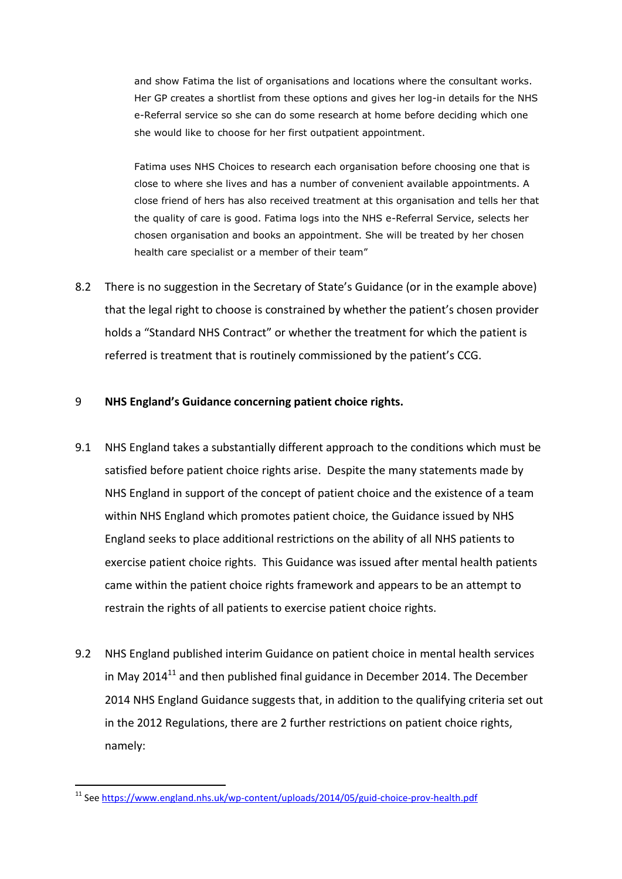and show Fatima the list of organisations and locations where the consultant works. Her GP creates a shortlist from these options and gives her log-in details for the NHS e-Referral service so she can do some research at home before deciding which one she would like to choose for her first outpatient appointment.

Fatima uses NHS Choices to research each organisation before choosing one that is close to where she lives and has a number of convenient available appointments. A close friend of hers has also received treatment at this organisation and tells her that the quality of care is good. Fatima logs into the NHS e-Referral Service, selects her chosen organisation and books an appointment. She will be treated by her chosen health care specialist or a member of their team"

8.2 There is no suggestion in the Secretary of State's Guidance (or in the example above) that the legal right to choose is constrained by whether the patient's chosen provider holds a "Standard NHS Contract" or whether the treatment for which the patient is referred is treatment that is routinely commissioned by the patient's CCG.

#### 9 **NHS England's Guidance concerning patient choice rights.**

- 9.1 NHS England takes a substantially different approach to the conditions which must be satisfied before patient choice rights arise. Despite the many statements made by NHS England in support of the concept of patient choice and the existence of a team within NHS England which promotes patient choice, the Guidance issued by NHS England seeks to place additional restrictions on the ability of all NHS patients to exercise patient choice rights. This Guidance was issued after mental health patients came within the patient choice rights framework and appears to be an attempt to restrain the rights of all patients to exercise patient choice rights.
- 9.2 NHS England published interim Guidance on patient choice in mental health services in May 2014 $^{11}$  and then published final guidance in December 2014. The December 2014 NHS England Guidance suggests that, in addition to the qualifying criteria set out in the 2012 Regulations, there are 2 further restrictions on patient choice rights, namely:

<sup>1</sup> <sup>11</sup> Se[e https://www.england.nhs.uk/wp-content/uploads/2014/05/guid-choice-prov-health.pdf](https://www.england.nhs.uk/wp-content/uploads/2014/05/guid-choice-prov-health.pdf)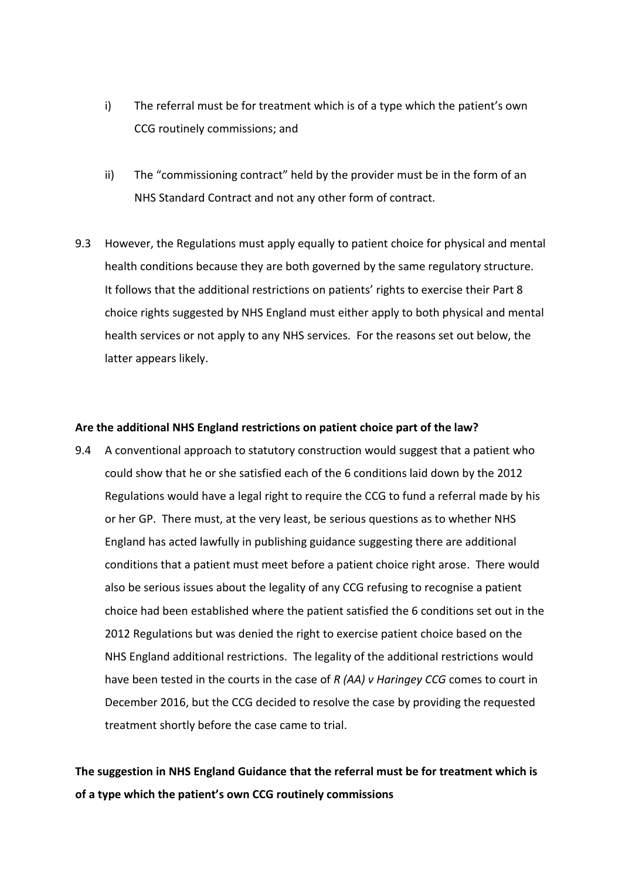- i) The referral must be for treatment which is of a type which the patient's own CCG routinely commissions; and
- ii) The "commissioning contract" held by the provider must be in the form of an NHS Standard Contract and not any other form of contract.
- 9.3 However, the Regulations must apply equally to patient choice for physical and mental health conditions because they are both governed by the same regulatory structure. It follows that the additional restrictions on patients' rights to exercise their Part 8 choice rights suggested by NHS England must either apply to both physical and mental health services or not apply to any NHS services. For the reasons set out below, the latter appears likely.

#### **Are the additional NHS England restrictions on patient choice part of the law?**

9.4 A conventional approach to statutory construction would suggest that a patient who could show that he or she satisfied each of the 6 conditions laid down by the 2012 Regulations would have a legal right to require the CCG to fund a referral made by his or her GP. There must, at the very least, be serious questions as to whether NHS England has acted lawfully in publishing guidance suggesting there are additional conditions that a patient must meet before a patient choice right arose. There would also be serious issues about the legality of any CCG refusing to recognise a patient choice had been established where the patient satisfied the 6 conditions set out in the 2012 Regulations but was denied the right to exercise patient choice based on the NHS England additional restrictions. The legality of the additional restrictions would have been tested in the courts in the case of *R (AA) v Haringey CCG* comes to court in December 2016, but the CCG decided to resolve the case by providing the requested treatment shortly before the case came to trial.

**The suggestion in NHS England Guidance that the referral must be for treatment which is of a type which the patient's own CCG routinely commissions**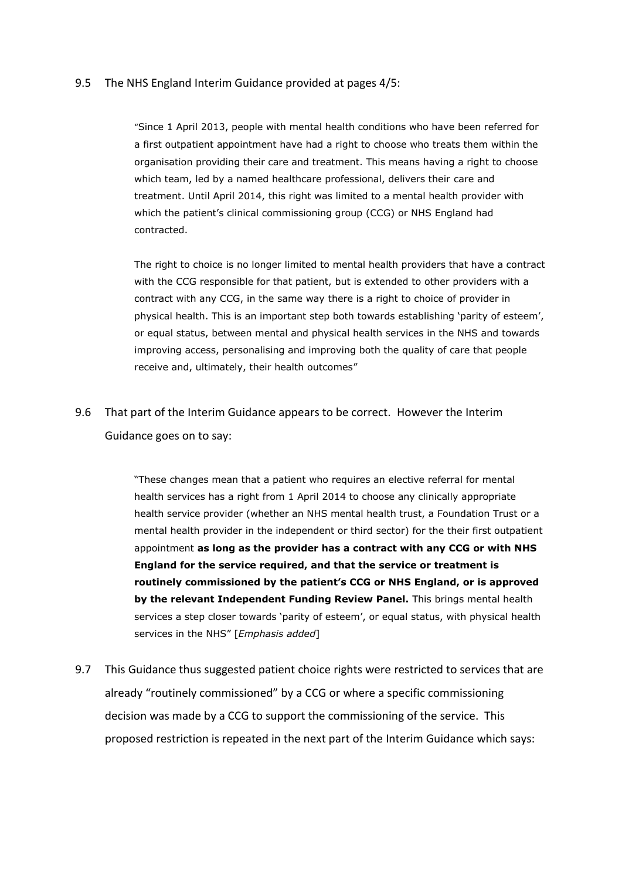#### 9.5 The NHS England Interim Guidance provided at pages 4/5:

"Since 1 April 2013, people with mental health conditions who have been referred for a first outpatient appointment have had a right to choose who treats them within the organisation providing their care and treatment. This means having a right to choose which team, led by a named healthcare professional, delivers their care and treatment. Until April 2014, this right was limited to a mental health provider with which the patient's clinical commissioning group (CCG) or NHS England had contracted.

The right to choice is no longer limited to mental health providers that have a contract with the CCG responsible for that patient, but is extended to other providers with a contract with any CCG, in the same way there is a right to choice of provider in physical health. This is an important step both towards establishing 'parity of esteem', or equal status, between mental and physical health services in the NHS and towards improving access, personalising and improving both the quality of care that people receive and, ultimately, their health outcomes"

9.6 That part of the Interim Guidance appears to be correct. However the Interim Guidance goes on to say:

> "These changes mean that a patient who requires an elective referral for mental health services has a right from 1 April 2014 to choose any clinically appropriate health service provider (whether an NHS mental health trust, a Foundation Trust or a mental health provider in the independent or third sector) for the their first outpatient appointment **as long as the provider has a contract with any CCG or with NHS England for the service required, and that the service or treatment is routinely commissioned by the patient's CCG or NHS England, or is approved by the relevant Independent Funding Review Panel.** This brings mental health services a step closer towards 'parity of esteem', or equal status, with physical health services in the NHS" [*Emphasis added*]

9.7 This Guidance thus suggested patient choice rights were restricted to services that are already "routinely commissioned" by a CCG or where a specific commissioning decision was made by a CCG to support the commissioning of the service. This proposed restriction is repeated in the next part of the Interim Guidance which says: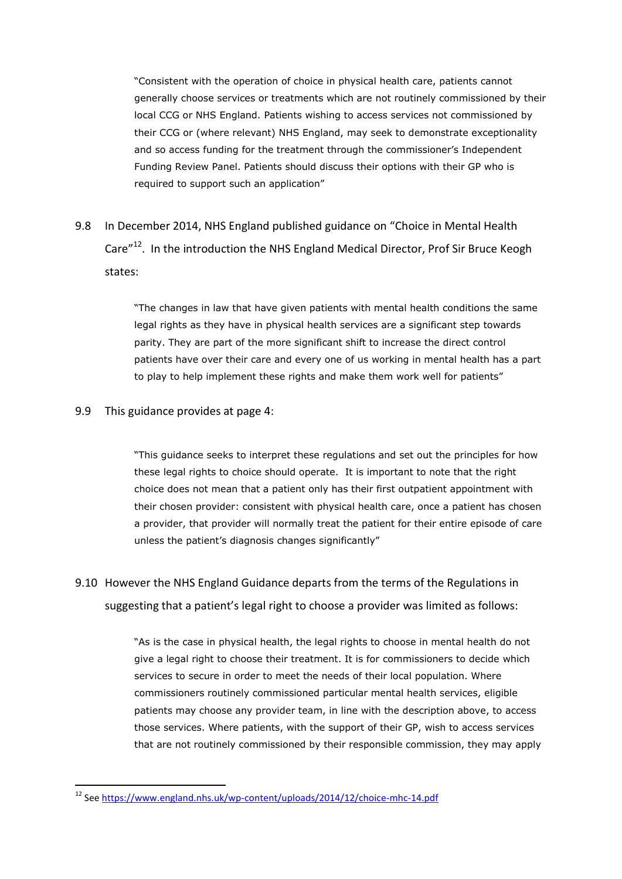"Consistent with the operation of choice in physical health care, patients cannot generally choose services or treatments which are not routinely commissioned by their local CCG or NHS England. Patients wishing to access services not commissioned by their CCG or (where relevant) NHS England, may seek to demonstrate exceptionality and so access funding for the treatment through the commissioner's Independent Funding Review Panel. Patients should discuss their options with their GP who is required to support such an application"

## 9.8 In December 2014, NHS England published guidance on "Choice in Mental Health Care<sup>"12</sup>. In the introduction the NHS England Medical Director, Prof Sir Bruce Keogh states:

"The changes in law that have given patients with mental health conditions the same legal rights as they have in physical health services are a significant step towards parity. They are part of the more significant shift to increase the direct control patients have over their care and every one of us working in mental health has a part to play to help implement these rights and make them work well for patients"

#### 9.9 This guidance provides at page 4:

1

"This guidance seeks to interpret these regulations and set out the principles for how these legal rights to choice should operate. It is important to note that the right choice does not mean that a patient only has their first outpatient appointment with their chosen provider: consistent with physical health care, once a patient has chosen a provider, that provider will normally treat the patient for their entire episode of care unless the patient's diagnosis changes significantly"

## 9.10 However the NHS England Guidance departs from the terms of the Regulations in suggesting that a patient's legal right to choose a provider was limited as follows:

"As is the case in physical health, the legal rights to choose in mental health do not give a legal right to choose their treatment. It is for commissioners to decide which services to secure in order to meet the needs of their local population. Where commissioners routinely commissioned particular mental health services, eligible patients may choose any provider team, in line with the description above, to access those services. Where patients, with the support of their GP, wish to access services that are not routinely commissioned by their responsible commission, they may apply

<sup>12</sup> Se[e https://www.england.nhs.uk/wp-content/uploads/2014/12/choice-mhc-14.pdf](https://www.england.nhs.uk/wp-content/uploads/2014/12/choice-mhc-14.pdf)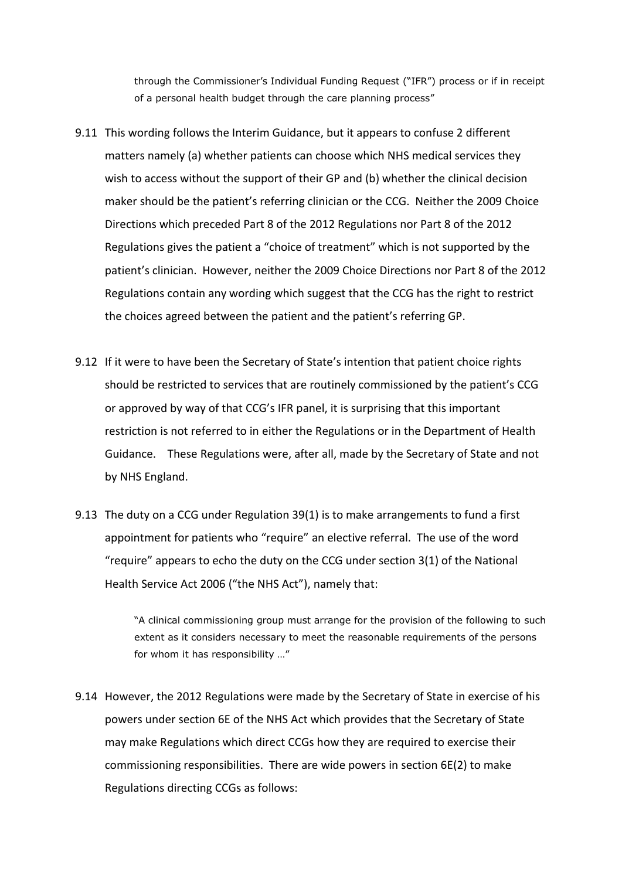through the Commissioner's Individual Funding Request ("IFR") process or if in receipt of a personal health budget through the care planning process"

- 9.11 This wording follows the Interim Guidance, but it appears to confuse 2 different matters namely (a) whether patients can choose which NHS medical services they wish to access without the support of their GP and (b) whether the clinical decision maker should be the patient's referring clinician or the CCG. Neither the 2009 Choice Directions which preceded Part 8 of the 2012 Regulations nor Part 8 of the 2012 Regulations gives the patient a "choice of treatment" which is not supported by the patient's clinician. However, neither the 2009 Choice Directions nor Part 8 of the 2012 Regulations contain any wording which suggest that the CCG has the right to restrict the choices agreed between the patient and the patient's referring GP.
- 9.12 If it were to have been the Secretary of State's intention that patient choice rights should be restricted to services that are routinely commissioned by the patient's CCG or approved by way of that CCG's IFR panel, it is surprising that this important restriction is not referred to in either the Regulations or in the Department of Health Guidance. These Regulations were, after all, made by the Secretary of State and not by NHS England.
- 9.13 The duty on a CCG under Regulation 39(1) is to make arrangements to fund a first appointment for patients who "require" an elective referral. The use of the word "require" appears to echo the duty on the CCG under section 3(1) of the National Health Service Act 2006 ("the NHS Act"), namely that:

"A clinical commissioning group must arrange for the provision of the following to such extent as it considers necessary to meet the reasonable requirements of the persons for whom it has responsibility …"

9.14 However, the 2012 Regulations were made by the Secretary of State in exercise of his powers under section 6E of the NHS Act which provides that the Secretary of State may make Regulations which direct CCGs how they are required to exercise their commissioning responsibilities. There are wide powers in section 6E(2) to make Regulations directing CCGs as follows: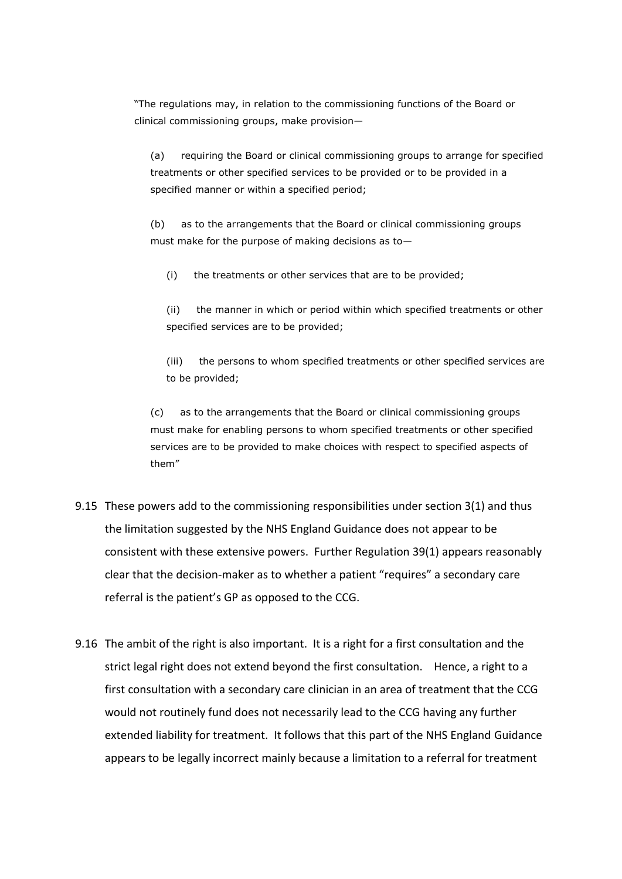"The regulations may, in relation to the commissioning functions of the Board or clinical commissioning groups, make provision—

(a) requiring the Board or clinical commissioning groups to arrange for specified treatments or other specified services to be provided or to be provided in a specified manner or within a specified period;

(b) as to the arrangements that the Board or clinical commissioning groups must make for the purpose of making decisions as to—

(i) the treatments or other services that are to be provided;

(ii) the manner in which or period within which specified treatments or other specified services are to be provided;

(iii) the persons to whom specified treatments or other specified services are to be provided;

(c) as to the arrangements that the Board or clinical commissioning groups must make for enabling persons to whom specified treatments or other specified services are to be provided to make choices with respect to specified aspects of them"

- 9.15 These powers add to the commissioning responsibilities under section 3(1) and thus the limitation suggested by the NHS England Guidance does not appear to be consistent with these extensive powers. Further Regulation 39(1) appears reasonably clear that the decision-maker as to whether a patient "requires" a secondary care referral is the patient's GP as opposed to the CCG.
- 9.16 The ambit of the right is also important. It is a right for a first consultation and the strict legal right does not extend beyond the first consultation. Hence, a right to a first consultation with a secondary care clinician in an area of treatment that the CCG would not routinely fund does not necessarily lead to the CCG having any further extended liability for treatment. It follows that this part of the NHS England Guidance appears to be legally incorrect mainly because a limitation to a referral for treatment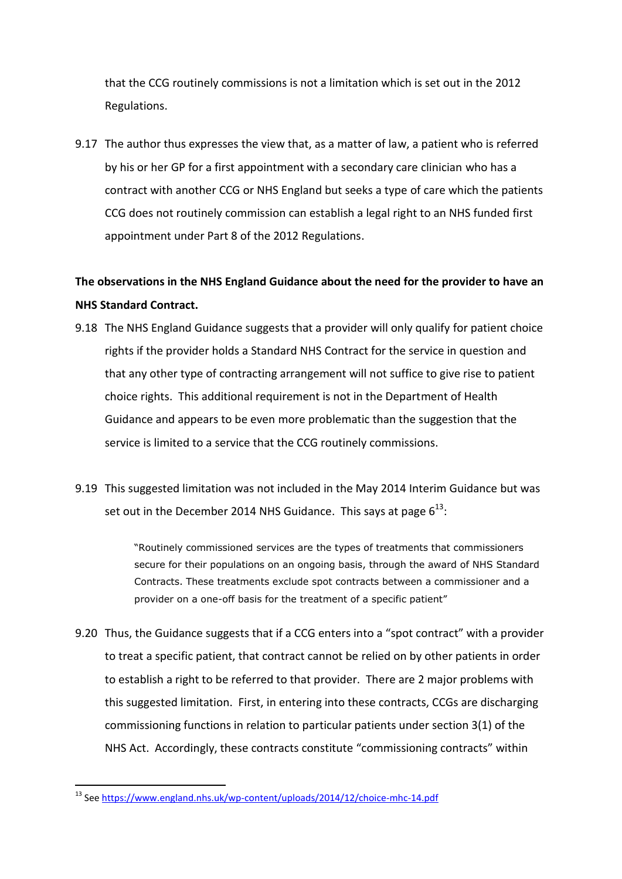that the CCG routinely commissions is not a limitation which is set out in the 2012 Regulations.

9.17 The author thus expresses the view that, as a matter of law, a patient who is referred by his or her GP for a first appointment with a secondary care clinician who has a contract with another CCG or NHS England but seeks a type of care which the patients CCG does not routinely commission can establish a legal right to an NHS funded first appointment under Part 8 of the 2012 Regulations.

## **The observations in the NHS England Guidance about the need for the provider to have an NHS Standard Contract.**

- <span id="page-24-0"></span>9.18 The NHS England Guidance suggests that a provider will only qualify for patient choice rights if the provider holds a Standard NHS Contract for the service in question and that any other type of contracting arrangement will not suffice to give rise to patient choice rights. This additional requirement is not in the Department of Health Guidance and appears to be even more problematic than the suggestion that the service is limited to a service that the CCG routinely commissions.
- 9.19 This suggested limitation was not included in the May 2014 Interim Guidance but was set out in the December 2014 NHS Guidance. This says at page  $6^{13}$ :

"Routinely commissioned services are the types of treatments that commissioners secure for their populations on an ongoing basis, through the award of NHS Standard Contracts. These treatments exclude spot contracts between a commissioner and a provider on a one-off basis for the treatment of a specific patient"

9.20 Thus, the Guidance suggests that if a CCG enters into a "spot contract" with a provider to treat a specific patient, that contract cannot be relied on by other patients in order to establish a right to be referred to that provider. There are 2 major problems with this suggested limitation. First, in entering into these contracts, CCGs are discharging commissioning functions in relation to particular patients under section 3(1) of the NHS Act. Accordingly, these contracts constitute "commissioning contracts" within

<sup>1</sup> <sup>13</sup> Se[e https://www.england.nhs.uk/wp-content/uploads/2014/12/choice-mhc-14.pdf](https://www.england.nhs.uk/wp-content/uploads/2014/12/choice-mhc-14.pdf)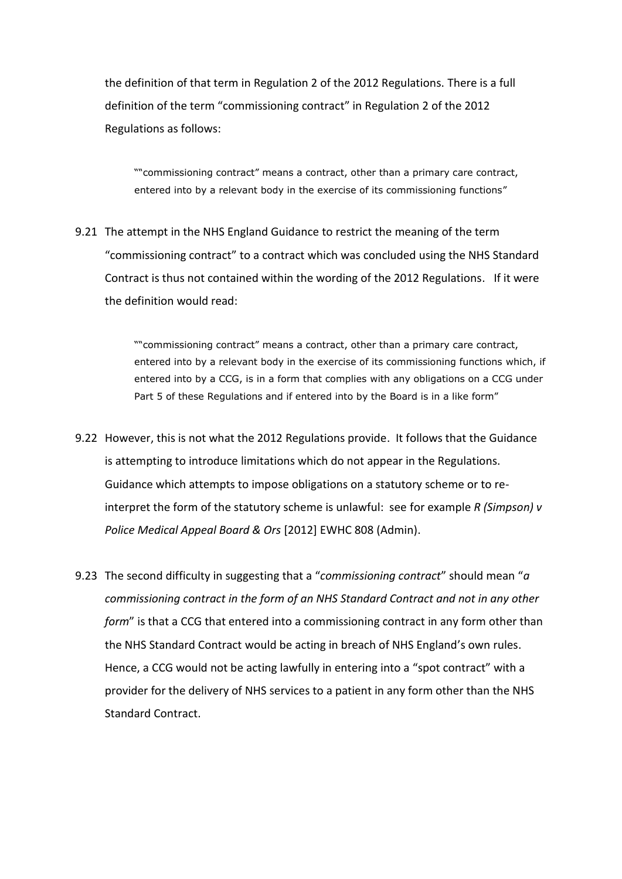the definition of that term in Regulation 2 of the 2012 Regulations. There is a full definition of the term "commissioning contract" in Regulation 2 of the 2012 Regulations as follows:

""commissioning contract" means a contract, other than a primary care contract, entered into by a relevant body in the exercise of its commissioning functions"

9.21 The attempt in the NHS England Guidance to restrict the meaning of the term "commissioning contract" to a contract which was concluded using the NHS Standard Contract is thus not contained within the wording of the 2012 Regulations. If it were the definition would read:

> ""commissioning contract" means a contract, other than a primary care contract, entered into by a relevant body in the exercise of its commissioning functions which, if entered into by a CCG, is in a form that complies with any obligations on a CCG under Part 5 of these Regulations and if entered into by the Board is in a like form"

- 9.22 However, this is not what the 2012 Regulations provide. It follows that the Guidance is attempting to introduce limitations which do not appear in the Regulations. Guidance which attempts to impose obligations on a statutory scheme or to reinterpret the form of the statutory scheme is unlawful: see for example *R (Simpson) v Police Medical Appeal Board & Ors* [2012] EWHC 808 (Admin).
- 9.23 The second difficulty in suggesting that a "*commissioning contract*" should mean "*a commissioning contract in the form of an NHS Standard Contract and not in any other form*" is that a CCG that entered into a commissioning contract in any form other than the NHS Standard Contract would be acting in breach of NHS England's own rules. Hence, a CCG would not be acting lawfully in entering into a "spot contract" with a provider for the delivery of NHS services to a patient in any form other than the NHS Standard Contract.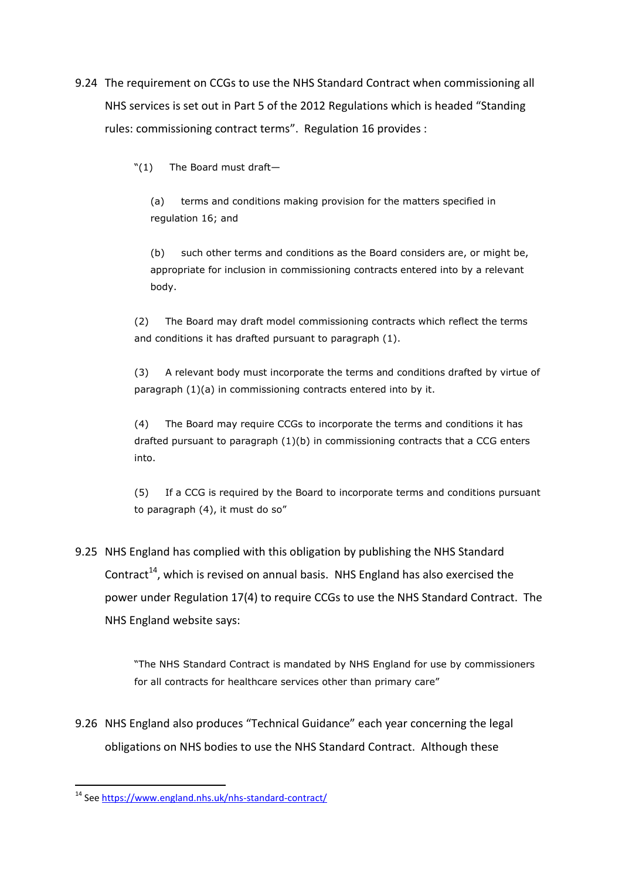9.24 The requirement on CCGs to use the NHS Standard Contract when commissioning all NHS services is set out in Part 5 of the 2012 Regulations which is headed "Standing rules: commissioning contract terms". Regulation 16 provides :

"(1) The Board must draft—

(a) terms and conditions making provision for the matters specified in regulation 16; and

(b) such other terms and conditions as the Board considers are, or might be, appropriate for inclusion in commissioning contracts entered into by a relevant body.

(2) The Board may draft model commissioning contracts which reflect the terms and conditions it has drafted pursuant to paragraph (1).

(3) A relevant body must incorporate the terms and conditions drafted by virtue of paragraph (1)(a) in commissioning contracts entered into by it.

(4) The Board may require CCGs to incorporate the terms and conditions it has drafted pursuant to paragraph (1)(b) in commissioning contracts that a CCG enters into.

(5) If a CCG is required by the Board to incorporate terms and conditions pursuant to paragraph (4), it must do so"

# 9.25 NHS England has complied with this obligation by publishing the NHS Standard Contract<sup>14</sup>, which is revised on annual basis. NHS England has also exercised the power under Regulation 17(4) to require CCGs to use the NHS Standard Contract. The NHS England website says:

"The NHS Standard Contract is mandated by NHS England for use by commissioners for all contracts for healthcare services other than primary care"

9.26 NHS England also produces "Technical Guidance" each year concerning the legal obligations on NHS bodies to use the NHS Standard Contract. Although these

<sup>1</sup> <sup>14</sup> Se[e https://www.england.nhs.uk/nhs-standard-contract/](https://www.england.nhs.uk/nhs-standard-contract/)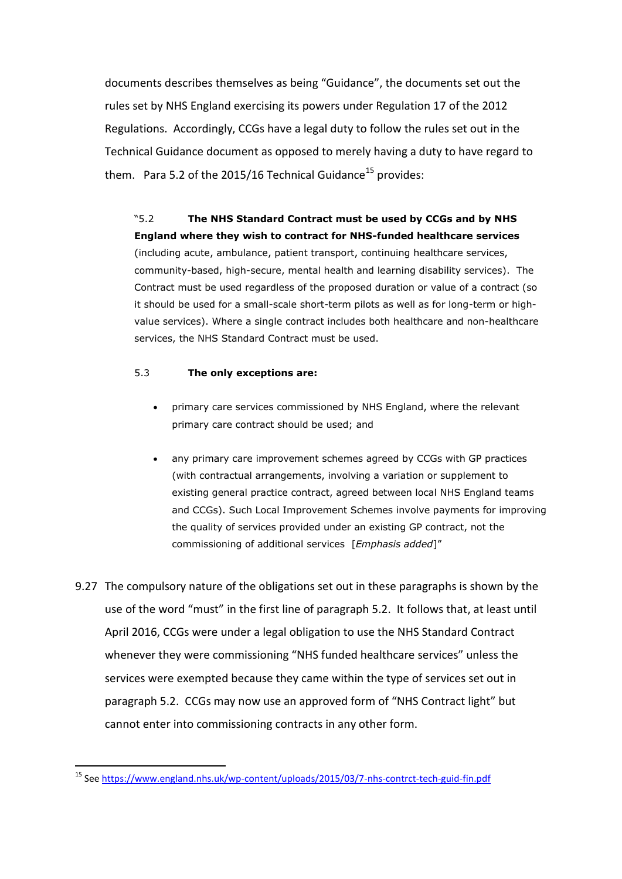documents describes themselves as being "Guidance", the documents set out the rules set by NHS England exercising its powers under Regulation 17 of the 2012 Regulations. Accordingly, CCGs have a legal duty to follow the rules set out in the Technical Guidance document as opposed to merely having a duty to have regard to them. Para 5.2 of the 2015/16 Technical Guidance<sup>15</sup> provides:

"5.2 **The NHS Standard Contract must be used by CCGs and by NHS England where they wish to contract for NHS-funded healthcare services** (including acute, ambulance, patient transport, continuing healthcare services, community-based, high-secure, mental health and learning disability services). The Contract must be used regardless of the proposed duration or value of a contract (so it should be used for a small-scale short-term pilots as well as for long-term or highvalue services). Where a single contract includes both healthcare and non-healthcare services, the NHS Standard Contract must be used.

#### 5.3 **The only exceptions are:**

- primary care services commissioned by NHS England, where the relevant primary care contract should be used; and
- any primary care improvement schemes agreed by CCGs with GP practices (with contractual arrangements, involving a variation or supplement to existing general practice contract, agreed between local NHS England teams and CCGs). Such Local Improvement Schemes involve payments for improving the quality of services provided under an existing GP contract, not the commissioning of additional services [*Emphasis added*]"
- 9.27 The compulsory nature of the obligations set out in these paragraphs is shown by the use of the word "must" in the first line of paragraph 5.2. It follows that, at least until April 2016, CCGs were under a legal obligation to use the NHS Standard Contract whenever they were commissioning "NHS funded healthcare services" unless the services were exempted because they came within the type of services set out in paragraph 5.2. CCGs may now use an approved form of "NHS Contract light" but cannot enter into commissioning contracts in any other form.

<sup>1</sup> <sup>15</sup> Se[e https://www.england.nhs.uk/wp-content/uploads/2015/03/7-nhs-contrct-tech-guid-fin.pdf](https://www.england.nhs.uk/wp-content/uploads/2015/03/7-nhs-contrct-tech-guid-fin.pdf)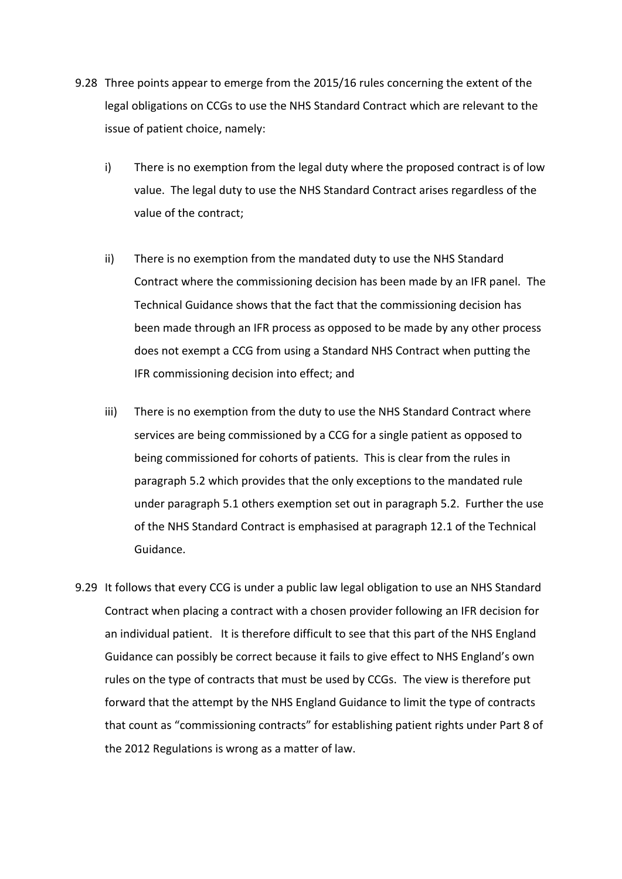- 9.28 Three points appear to emerge from the 2015/16 rules concerning the extent of the legal obligations on CCGs to use the NHS Standard Contract which are relevant to the issue of patient choice, namely:
	- i) There is no exemption from the legal duty where the proposed contract is of low value. The legal duty to use the NHS Standard Contract arises regardless of the value of the contract;
	- ii) There is no exemption from the mandated duty to use the NHS Standard Contract where the commissioning decision has been made by an IFR panel. The Technical Guidance shows that the fact that the commissioning decision has been made through an IFR process as opposed to be made by any other process does not exempt a CCG from using a Standard NHS Contract when putting the IFR commissioning decision into effect; and
	- iii) There is no exemption from the duty to use the NHS Standard Contract where services are being commissioned by a CCG for a single patient as opposed to being commissioned for cohorts of patients. This is clear from the rules in paragraph 5.2 which provides that the only exceptions to the mandated rule under paragraph 5.1 others exemption set out in paragraph 5.2. Further the use of the NHS Standard Contract is emphasised at paragraph 12.1 of the Technical Guidance.
- 9.29 It follows that every CCG is under a public law legal obligation to use an NHS Standard Contract when placing a contract with a chosen provider following an IFR decision for an individual patient. It is therefore difficult to see that this part of the NHS England Guidance can possibly be correct because it fails to give effect to NHS England's own rules on the type of contracts that must be used by CCGs. The view is therefore put forward that the attempt by the NHS England Guidance to limit the type of contracts that count as "commissioning contracts" for establishing patient rights under Part 8 of the 2012 Regulations is wrong as a matter of law.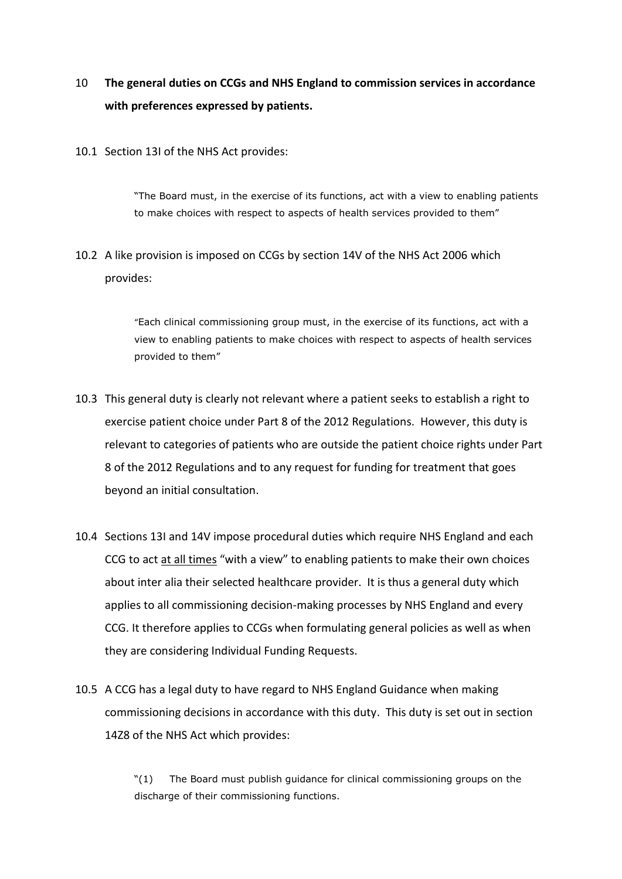## 10 **The general duties on CCGs and NHS England to commission services in accordance with preferences expressed by patients.**

10.1 Section 13I of the NHS Act provides:

"The Board must, in the exercise of its functions, act with a view to enabling patients to make choices with respect to aspects of health services provided to them"

10.2 A like provision is imposed on CCGs by section 14V of the NHS Act 2006 which provides:

> "Each clinical commissioning group must, in the exercise of its functions, act with a view to enabling patients to make choices with respect to aspects of health services provided to them"

- 10.3 This general duty is clearly not relevant where a patient seeks to establish a right to exercise patient choice under Part 8 of the 2012 Regulations. However, this duty is relevant to categories of patients who are outside the patient choice rights under Part 8 of the 2012 Regulations and to any request for funding for treatment that goes beyond an initial consultation.
- 10.4 Sections 13I and 14V impose procedural duties which require NHS England and each CCG to act at all times "with a view" to enabling patients to make their own choices about inter alia their selected healthcare provider. It is thus a general duty which applies to all commissioning decision-making processes by NHS England and every CCG. It therefore applies to CCGs when formulating general policies as well as when they are considering Individual Funding Requests.
- 10.5 A CCG has a legal duty to have regard to NHS England Guidance when making commissioning decisions in accordance with this duty. This duty is set out in section 14Z8 of the NHS Act which provides:

"(1) The Board must publish guidance for clinical commissioning groups on the discharge of their commissioning functions.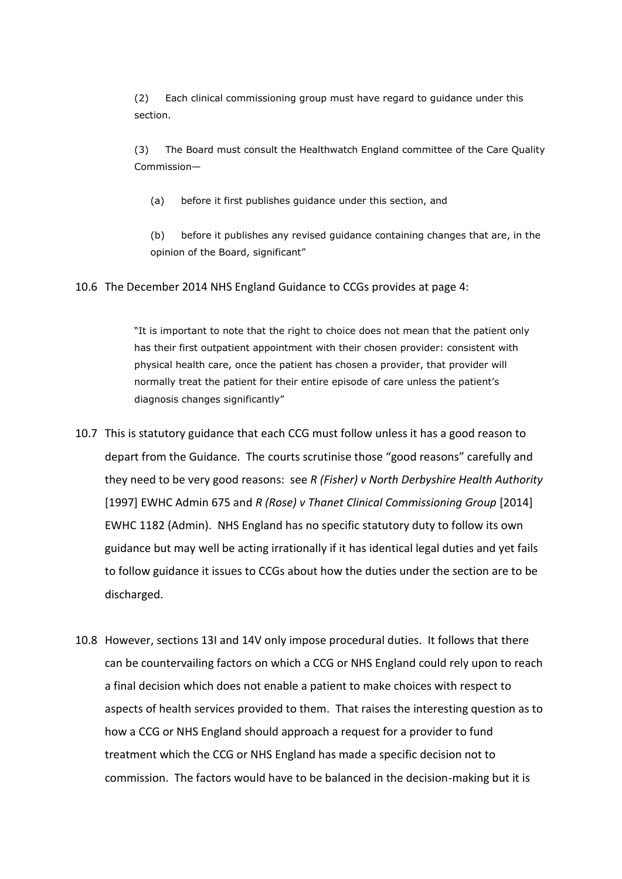(2) Each clinical commissioning group must have regard to guidance under this section.

(3) The Board must consult the Healthwatch England committee of the Care Quality Commission—

(a) before it first publishes guidance under this section, and

(b) before it publishes any revised guidance containing changes that are, in the opinion of the Board, significant"

10.6 The December 2014 NHS England Guidance to CCGs provides at page 4:

"It is important to note that the right to choice does not mean that the patient only has their first outpatient appointment with their chosen provider: consistent with physical health care, once the patient has chosen a provider, that provider will normally treat the patient for their entire episode of care unless the patient's diagnosis changes significantly"

- 10.7 This is statutory guidance that each CCG must follow unless it has a good reason to depart from the Guidance. The courts scrutinise those "good reasons" carefully and they need to be very good reasons: see *R (Fisher) v North Derbyshire Health Authority* [1997] EWHC Admin 675 and *R (Rose) v Thanet Clinical Commissioning Group* [2014] EWHC 1182 (Admin). NHS England has no specific statutory duty to follow its own guidance but may well be acting irrationally if it has identical legal duties and yet fails to follow guidance it issues to CCGs about how the duties under the section are to be discharged.
- 10.8 However, sections 13I and 14V only impose procedural duties. It follows that there can be countervailing factors on which a CCG or NHS England could rely upon to reach a final decision which does not enable a patient to make choices with respect to aspects of health services provided to them. That raises the interesting question as to how a CCG or NHS England should approach a request for a provider to fund treatment which the CCG or NHS England has made a specific decision not to commission. The factors would have to be balanced in the decision-making but it is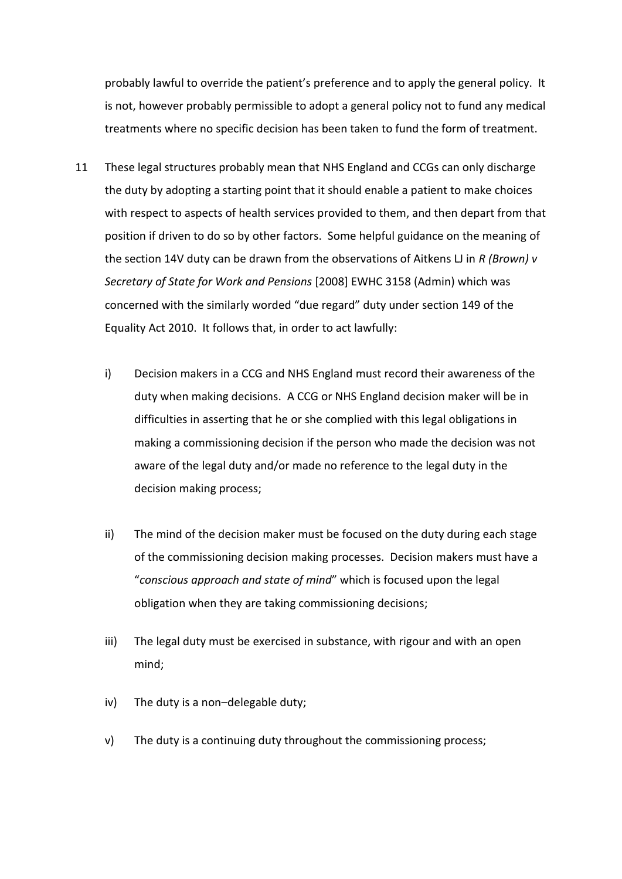probably lawful to override the patient's preference and to apply the general policy. It is not, however probably permissible to adopt a general policy not to fund any medical treatments where no specific decision has been taken to fund the form of treatment.

- 11 These legal structures probably mean that NHS England and CCGs can only discharge the duty by adopting a starting point that it should enable a patient to make choices with respect to aspects of health services provided to them, and then depart from that position if driven to do so by other factors. Some helpful guidance on the meaning of the section 14V duty can be drawn from the observations of Aitkens LJ in *R (Brown) v Secretary of State for Work and Pensions* [2008] EWHC 3158 (Admin) which was concerned with the similarly worded "due regard" duty under section 149 of the Equality Act 2010. It follows that, in order to act lawfully:
	- i) Decision makers in a CCG and NHS England must record their awareness of the duty when making decisions. A CCG or NHS England decision maker will be in difficulties in asserting that he or she complied with this legal obligations in making a commissioning decision if the person who made the decision was not aware of the legal duty and/or made no reference to the legal duty in the decision making process;
	- ii) The mind of the decision maker must be focused on the duty during each stage of the commissioning decision making processes. Decision makers must have a "*conscious approach and state of mind*" which is focused upon the legal obligation when they are taking commissioning decisions;
	- iii) The legal duty must be exercised in substance, with rigour and with an open mind;
	- iv) The duty is a non–delegable duty;
	- v) The duty is a continuing duty throughout the commissioning process;